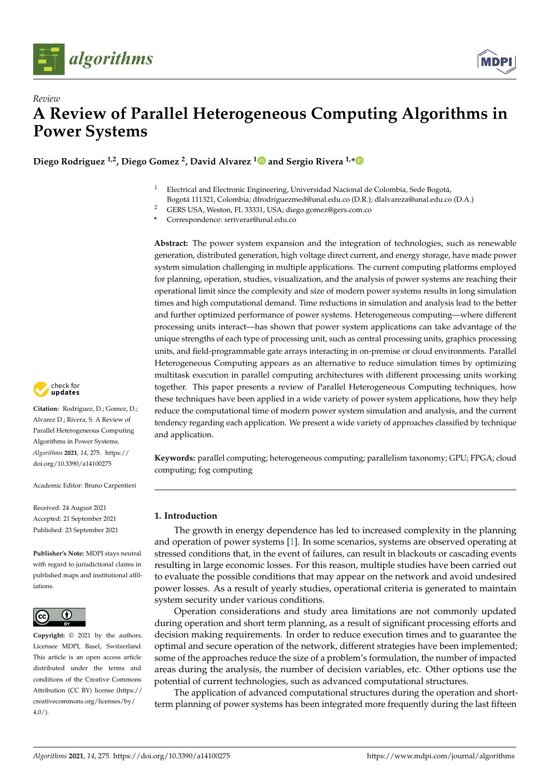



**Diego Rodriguez 1,2, Diego Gomez <sup>2</sup> , David Alvarez [1](https://orcid.org/0000-0003-2188-2498) and Sergio Rivera 1,[\\*](https://orcid.org/0000-0002-2995-1147)**

- <sup>1</sup> Electrical and Electronic Engineering, Universidad Nacional de Colombia, Sede Bogotá,
- Bogotá 111321, Colombia; dfrodriguezmed@unal.edu.co (D.R.); dlalvareza@unal.edu.co (D.A.)
- <sup>2</sup> GERS USA, Weston, FL 33331, USA; diego.gomez@gers.com.co
- **\*** Correspondence: srriverar@unal.edu.co

**Abstract:** The power system expansion and the integration of technologies, such as renewable generation, distributed generation, high voltage direct current, and energy storage, have made power system simulation challenging in multiple applications. The current computing platforms employed for planning, operation, studies, visualization, and the analysis of power systems are reaching their operational limit since the complexity and size of modern power systems results in long simulation times and high computational demand. Time reductions in simulation and analysis lead to the better and further optimized performance of power systems. Heterogeneous computing—where different processing units interact—has shown that power system applications can take advantage of the unique strengths of each type of processing unit, such as central processing units, graphics processing units, and field-programmable gate arrays interacting in on-premise or cloud environments. Parallel Heterogeneous Computing appears as an alternative to reduce simulation times by optimizing multitask execution in parallel computing architectures with different processing units working together. This paper presents a review of Parallel Heterogeneous Computing techniques, how these techniques have been applied in a wide variety of power system applications, how they help reduce the computational time of modern power system simulation and analysis, and the current tendency regarding each application. We present a wide variety of approaches classified by technique and application.

**Keywords:** parallel computing; heterogeneous computing; parallelism taxonomy; GPU; FPGA; cloud computing; fog computing

# **1. Introduction**

The growth in energy dependence has led to increased complexity in the planning and operation of power systems [\[1\]](#page-11-0). In some scenarios, systems are observed operating at stressed conditions that, in the event of failures, can result in blackouts or cascading events resulting in large economic losses. For this reason, multiple studies have been carried out to evaluate the possible conditions that may appear on the network and avoid undesired power losses. As a result of yearly studies, operational criteria is generated to maintain system security under various conditions.

Operation considerations and study area limitations are not commonly updated during operation and short term planning, as a result of significant processing efforts and decision making requirements. In order to reduce execution times and to guarantee the optimal and secure operation of the network, different strategies have been implemented; some of the approaches reduce the size of a problem's formulation, the number of impacted areas during the analysis, the number of decision variables, etc. Other options use the potential of current technologies, such as advanced computational structures.

The application of advanced computational structures during the operation and shortterm planning of power systems has been integrated more frequently during the last fifteen



**Citation:** Rodriguez, D.; Gomez, D.; Alvarez D.; Rivera, S. A Review of Parallel Heterogeneous Computing Algorithms in Power Systems. *Algorithms* **2021**, *14*, 275. [https://](https://doi.org/10.3390/a14100275) [doi.org/10.3390/a14100275](https://doi.org/10.3390/a14100275)

Academic Editor: Bruno Carpentieri

Received: 24 August 2021 Accepted: 21 September 2021 Published: 23 September 2021

**Publisher's Note:** MDPI stays neutral with regard to jurisdictional claims in published maps and institutional affiliations.



**Copyright:** © 2021 by the authors. Licensee MDPI, Basel, Switzerland. This article is an open access article distributed under the terms and conditions of the Creative Commons Attribution (CC BY) license (https:/[/](https://creativecommons.org/licenses/by/4.0/) [creativecommons.org/licenses/by/](https://creativecommons.org/licenses/by/4.0/)  $4.0/$ ).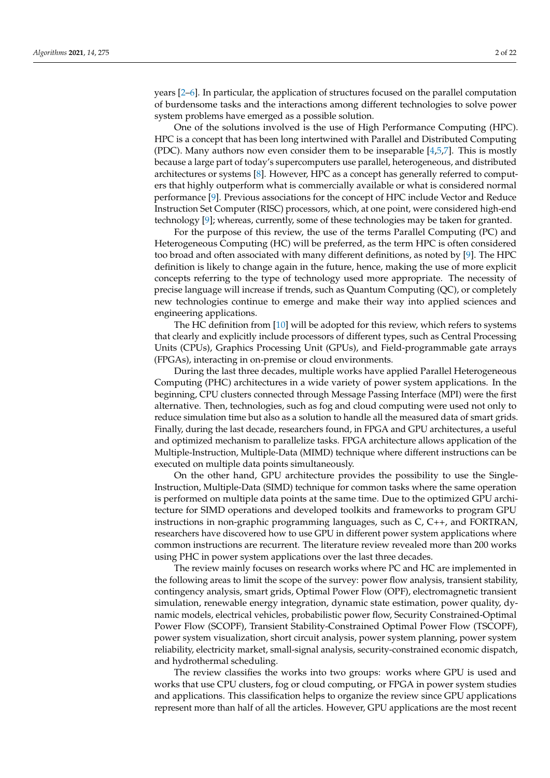years [\[2–](#page-11-1)[6\]](#page-11-2). In particular, the application of structures focused on the parallel computation of burdensome tasks and the interactions among different technologies to solve power system problems have emerged as a possible solution.

One of the solutions involved is the use of High Performance Computing (HPC). HPC is a concept that has been long intertwined with Parallel and Distributed Computing (PDC). Many authors now even consider them to be inseparable  $[4,5,7]$  $[4,5,7]$  $[4,5,7]$ . This is mostly because a large part of today's supercomputers use parallel, heterogeneous, and distributed architectures or systems [\[8\]](#page-11-6). However, HPC as a concept has generally referred to computers that highly outperform what is commercially available or what is considered normal performance [\[9\]](#page-11-7). Previous associations for the concept of HPC include Vector and Reduce Instruction Set Computer (RISC) processors, which, at one point, were considered high-end technology [\[9\]](#page-11-7); whereas, currently, some of these technologies may be taken for granted.

For the purpose of this review, the use of the terms Parallel Computing (PC) and Heterogeneous Computing (HC) will be preferred, as the term HPC is often considered too broad and often associated with many different definitions, as noted by [\[9\]](#page-11-7). The HPC definition is likely to change again in the future, hence, making the use of more explicit concepts referring to the type of technology used more appropriate. The necessity of precise language will increase if trends, such as Quantum Computing (QC), or completely new technologies continue to emerge and make their way into applied sciences and engineering applications.

The HC definition from [\[10\]](#page-11-8) will be adopted for this review, which refers to systems that clearly and explicitly include processors of different types, such as Central Processing Units (CPUs), Graphics Processing Unit (GPUs), and Field-programmable gate arrays (FPGAs), interacting in on-premise or cloud environments.

During the last three decades, multiple works have applied Parallel Heterogeneous Computing (PHC) architectures in a wide variety of power system applications. In the beginning, CPU clusters connected through Message Passing Interface (MPI) were the first alternative. Then, technologies, such as fog and cloud computing were used not only to reduce simulation time but also as a solution to handle all the measured data of smart grids. Finally, during the last decade, researchers found, in FPGA and GPU architectures, a useful and optimized mechanism to parallelize tasks. FPGA architecture allows application of the Multiple-Instruction, Multiple-Data (MIMD) technique where different instructions can be executed on multiple data points simultaneously.

On the other hand, GPU architecture provides the possibility to use the Single-Instruction, Multiple-Data (SIMD) technique for common tasks where the same operation is performed on multiple data points at the same time. Due to the optimized GPU architecture for SIMD operations and developed toolkits and frameworks to program GPU instructions in non-graphic programming languages, such as C, C++, and FORTRAN, researchers have discovered how to use GPU in different power system applications where common instructions are recurrent. The literature review revealed more than 200 works using PHC in power system applications over the last three decades.

The review mainly focuses on research works where PC and HC are implemented in the following areas to limit the scope of the survey: power flow analysis, transient stability, contingency analysis, smart grids, Optimal Power Flow (OPF), electromagnetic transient simulation, renewable energy integration, dynamic state estimation, power quality, dynamic models, electrical vehicles, probabilistic power flow, Security Constrained-Optimal Power Flow (SCOPF), Transient Stability-Constrained Optimal Power Flow (TSCOPF), power system visualization, short circuit analysis, power system planning, power system reliability, electricity market, small-signal analysis, security-constrained economic dispatch, and hydrothermal scheduling.

The review classifies the works into two groups: works where GPU is used and works that use CPU clusters, fog or cloud computing, or FPGA in power system studies and applications. This classification helps to organize the review since GPU applications represent more than half of all the articles. However, GPU applications are the most recent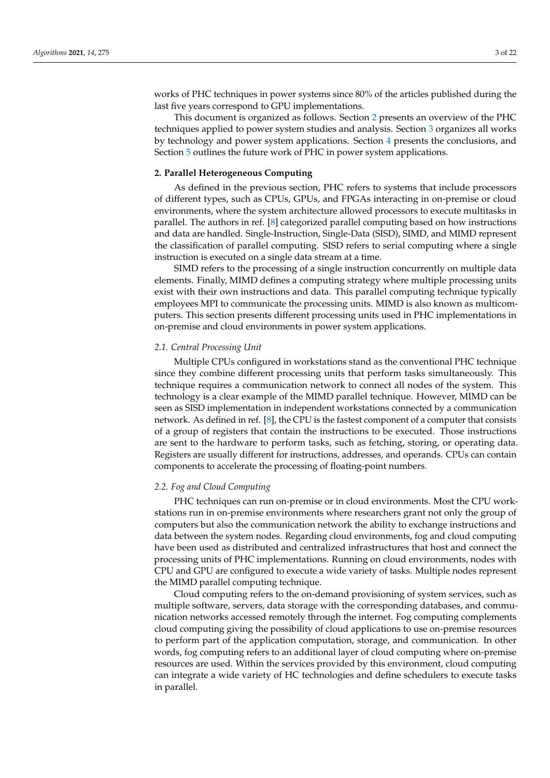works of PHC techniques in power systems since 80% of the articles published during the last five years correspond to GPU implementations.

This document is organized as follows. Section [2](#page-2-0) presents an overview of the PHC techniques applied to power system studies and analysis. Section [3](#page-3-0) organizes all works by technology and power system applications. Section [4](#page-10-0) presents the conclusions, and Section [5](#page-10-1) outlines the future work of PHC in power system applications.

# <span id="page-2-0"></span>**2. Parallel Heterogeneous Computing**

As defined in the previous section, PHC refers to systems that include processors of different types, such as CPUs, GPUs, and FPGAs interacting in on-premise or cloud environments, where the system architecture allowed processors to execute multitasks in parallel. The authors in ref. [\[8\]](#page-11-6) categorized parallel computing based on how instructions and data are handled. Single-Instruction, Single-Data (SISD), SIMD, and MIMD represent the classification of parallel computing. SISD refers to serial computing where a single instruction is executed on a single data stream at a time.

SIMD refers to the processing of a single instruction concurrently on multiple data elements. Finally, MIMD defines a computing strategy where multiple processing units exist with their own instructions and data. This parallel computing technique typically employees MPI to communicate the processing units. MIMD is also known as multicomputers. This section presents different processing units used in PHC implementations in on-premise and cloud environments in power system applications.

# *2.1. Central Processing Unit*

Multiple CPUs configured in workstations stand as the conventional PHC technique since they combine different processing units that perform tasks simultaneously. This technique requires a communication network to connect all nodes of the system. This technology is a clear example of the MIMD parallel technique. However, MIMD can be seen as SISD implementation in independent workstations connected by a communication network. As defined in ref. [\[8\]](#page-11-6), the CPU is the fastest component of a computer that consists of a group of registers that contain the instructions to be executed. Those instructions are sent to the hardware to perform tasks, such as fetching, storing, or operating data. Registers are usually different for instructions, addresses, and operands. CPUs can contain components to accelerate the processing of floating-point numbers.

#### *2.2. Fog and Cloud Computing*

PHC techniques can run on-premise or in cloud environments. Most the CPU workstations run in on-premise environments where researchers grant not only the group of computers but also the communication network the ability to exchange instructions and data between the system nodes. Regarding cloud environments, fog and cloud computing have been used as distributed and centralized infrastructures that host and connect the processing units of PHC implementations. Running on cloud environments, nodes with CPU and GPU are configured to execute a wide variety of tasks. Multiple nodes represent the MIMD parallel computing technique.

Cloud computing refers to the on-demand provisioning of system services, such as multiple software, servers, data storage with the corresponding databases, and communication networks accessed remotely through the internet. Fog computing complements cloud computing giving the possibility of cloud applications to use on-premise resources to perform part of the application computation, storage, and communication. In other words, fog computing refers to an additional layer of cloud computing where on-premise resources are used. Within the services provided by this environment, cloud computing can integrate a wide variety of HC technologies and define schedulers to execute tasks in parallel.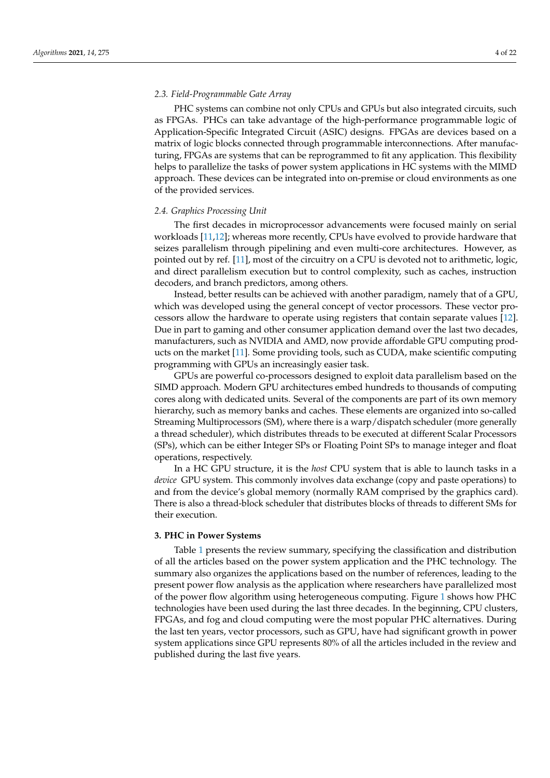## *2.3. Field-Programmable Gate Array*

PHC systems can combine not only CPUs and GPUs but also integrated circuits, such as FPGAs. PHCs can take advantage of the high-performance programmable logic of Application-Specific Integrated Circuit (ASIC) designs. FPGAs are devices based on a matrix of logic blocks connected through programmable interconnections. After manufacturing, FPGAs are systems that can be reprogrammed to fit any application. This flexibility helps to parallelize the tasks of power system applications in HC systems with the MIMD approach. These devices can be integrated into on-premise or cloud environments as one of the provided services.

# *2.4. Graphics Processing Unit*

The first decades in microprocessor advancements were focused mainly on serial workloads [\[11](#page-11-9)[,12\]](#page-11-10); whereas more recently, CPUs have evolved to provide hardware that seizes parallelism through pipelining and even multi-core architectures. However, as pointed out by ref. [\[11\]](#page-11-9), most of the circuitry on a CPU is devoted not to arithmetic, logic, and direct parallelism execution but to control complexity, such as caches, instruction decoders, and branch predictors, among others.

Instead, better results can be achieved with another paradigm, namely that of a GPU, which was developed using the general concept of vector processors. These vector processors allow the hardware to operate using registers that contain separate values [\[12\]](#page-11-10). Due in part to gaming and other consumer application demand over the last two decades, manufacturers, such as NVIDIA and AMD, now provide affordable GPU computing products on the market [\[11\]](#page-11-9). Some providing tools, such as CUDA, make scientific computing programming with GPUs an increasingly easier task.

GPUs are powerful co-processors designed to exploit data parallelism based on the SIMD approach. Modern GPU architectures embed hundreds to thousands of computing cores along with dedicated units. Several of the components are part of its own memory hierarchy, such as memory banks and caches. These elements are organized into so-called Streaming Multiprocessors (SM), where there is a warp/dispatch scheduler (more generally a thread scheduler), which distributes threads to be executed at different Scalar Processors (SPs), which can be either Integer SPs or Floating Point SPs to manage integer and float operations, respectively.

In a HC GPU structure, it is the *host* CPU system that is able to launch tasks in a *device* GPU system. This commonly involves data exchange (copy and paste operations) to and from the device's global memory (normally RAM comprised by the graphics card). There is also a thread-block scheduler that distributes blocks of threads to different SMs for their execution.

## <span id="page-3-0"></span>**3. PHC in Power Systems**

Table [1](#page-4-0) presents the review summary, specifying the classification and distribution of all the articles based on the power system application and the PHC technology. The summary also organizes the applications based on the number of references, leading to the present power flow analysis as the application where researchers have parallelized most of the power flow algorithm using heterogeneous computing. Figure [1](#page-4-1) shows how PHC technologies have been used during the last three decades. In the beginning, CPU clusters, FPGAs, and fog and cloud computing were the most popular PHC alternatives. During the last ten years, vector processors, such as GPU, have had significant growth in power system applications since GPU represents 80% of all the articles included in the review and published during the last five years.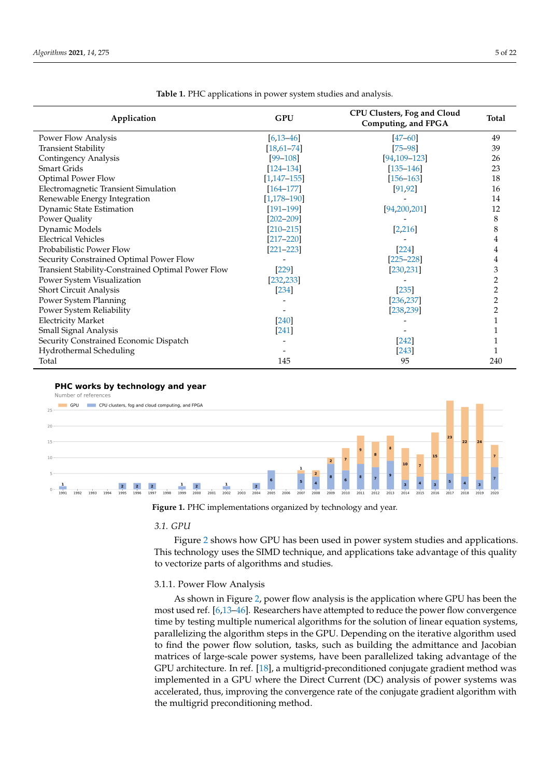<span id="page-4-0"></span>

| Application                                        | <b>GPU</b>       | <b>CPU Clusters, Fog and Cloud</b><br>Computing, and FPGA | <b>Total</b>   |
|----------------------------------------------------|------------------|-----------------------------------------------------------|----------------|
| Power Flow Analysis                                | $[6, 13 - 46]$   | $[47 - 60]$                                               | 49             |
| <b>Transient Stability</b>                         | $[18,61-74]$     | $[75 - 98]$                                               | 39             |
| <b>Contingency Analysis</b>                        | $[99 - 108]$     | $[94, 109 - 123]$                                         | 26             |
| Smart Grids                                        | $[124 - 134]$    | $[135 - 146]$                                             | 23             |
| <b>Optimal Power Flow</b>                          | $[1, 147 - 155]$ | $[156 - 163]$                                             | 18             |
| Electromagnetic Transient Simulation               | $[164 - 177]$    | [91, 92]                                                  | 16             |
| Renewable Energy Integration                       | $[1, 178 - 190]$ |                                                           | 14             |
| Dynamic State Estimation                           | $[191 - 199]$    | [94,200,201]                                              | 12             |
| Power Quality                                      | $[202 - 209]$    |                                                           | 8              |
| Dynamic Models                                     | $[210 - 215]$    | [2, 216]                                                  | 8              |
| <b>Electrical Vehicles</b>                         | $[217 - 220]$    |                                                           |                |
| Probabilistic Power Flow                           | $[221 - 223]$    | $[224]$                                                   |                |
| Security Constrained Optimal Power Flow            |                  | $[225 - 228]$                                             |                |
| Transient Stability-Constrained Optimal Power Flow | $[229]$          | [230, 231]                                                | 3              |
| Power System Visualization                         | [232, 233]       |                                                           | 2              |
| Short Circuit Analysis                             | $[234]$          | $[235]$                                                   | $\overline{c}$ |
| Power System Planning                              |                  | [236, 237]                                                | $\overline{c}$ |
| Power System Reliability                           |                  | [238, 239]                                                | 2              |
| <b>Electricity Market</b>                          | $[240]$          |                                                           |                |
| Small Signal Analysis                              | $[241]$          |                                                           |                |
| Security Constrained Economic Dispatch             |                  | $[242]$                                                   |                |
| Hydrothermal Scheduling                            |                  | $[243]$                                                   |                |
| Total                                              | 145              | 95                                                        | 240            |

**Table 1.** PHC applications in power system studies and analysis.

#### <span id="page-4-1"></span>PHC works by technology and year

Number of references



**Figure 1.** PHC implementations organized by technology and year.

#### *3.1. GPU*

Figure [2](#page-5-0) shows how GPU has been used in power system studies and applications. This technology uses the SIMD technique, and applications take advantage of this quality to vectorize parts of algorithms and studies.

#### 3.1.1. Power Flow Analysis

As shown in Figure [2,](#page-5-0) power flow analysis is the application where GPU has been the most used ref. [\[6](#page-11-2)[,13–](#page-11-11)[46\]](#page-13-0). Researchers have attempted to reduce the power flow convergence time by testing multiple numerical algorithms for the solution of linear equation systems, parallelizing the algorithm steps in the GPU. Depending on the iterative algorithm used to find the power flow solution, tasks, such as building the admittance and Jacobian matrices of large-scale power systems, have been parallelized taking advantage of the GPU architecture. In ref. [\[18\]](#page-12-0), a multigrid-preconditioned conjugate gradient method was implemented in a GPU where the Direct Current (DC) analysis of power systems was accelerated, thus, improving the convergence rate of the conjugate gradient algorithm with the multigrid preconditioning method.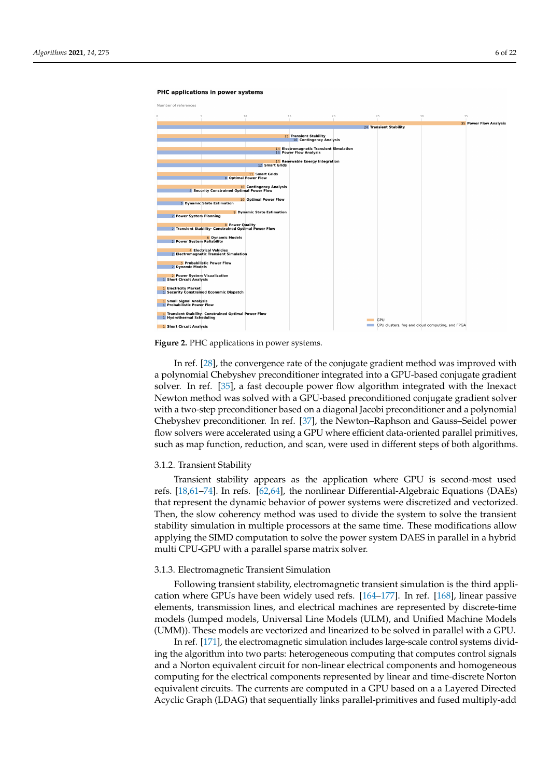#### <span id="page-5-0"></span>PHC applications in power systems



**Figure 2.** PHC applications in power systems.

In ref. [\[28\]](#page-12-1), the convergence rate of the conjugate gradient method was improved with a polynomial Chebyshev preconditioner integrated into a GPU-based conjugate gradient solver. In ref. [\[35\]](#page-12-2), a fast decouple power flow algorithm integrated with the Inexact Newton method was solved with a GPU-based preconditioned conjugate gradient solver with a two-step preconditioner based on a diagonal Jacobi preconditioner and a polynomial Chebyshev preconditioner. In ref. [\[37\]](#page-12-3), the Newton–Raphson and Gauss–Seidel power flow solvers were accelerated using a GPU where efficient data-oriented parallel primitives, such as map function, reduction, and scan, were used in different steps of both algorithms.

#### 3.1.2. Transient Stability

Transient stability appears as the application where GPU is second-most used refs. [\[18](#page-12-0)[,61](#page-13-3)[–74\]](#page-14-0). In refs. [\[62,](#page-13-4)[64\]](#page-13-5), the nonlinear Differential-Algebraic Equations (DAEs) that represent the dynamic behavior of power systems were discretized and vectorized. Then, the slow coherency method was used to divide the system to solve the transient stability simulation in multiple processors at the same time. These modifications allow applying the SIMD computation to solve the power system DAES in parallel in a hybrid multi CPU-GPU with a parallel sparse matrix solver.

# 3.1.3. Electromagnetic Transient Simulation

Following transient stability, electromagnetic transient simulation is the third application where GPUs have been widely used refs. [\[164](#page-17-5)[–177\]](#page-18-0). In ref. [\[168\]](#page-18-2), linear passive elements, transmission lines, and electrical machines are represented by discrete-time models (lumped models, Universal Line Models (ULM), and Unified Machine Models (UMM)). These models are vectorized and linearized to be solved in parallel with a GPU.

In ref. [\[171\]](#page-18-3), the electromagnetic simulation includes large-scale control systems dividing the algorithm into two parts: heterogeneous computing that computes control signals and a Norton equivalent circuit for non-linear electrical components and homogeneous computing for the electrical components represented by linear and time-discrete Norton equivalent circuits. The currents are computed in a GPU based on a a Layered Directed Acyclic Graph (LDAG) that sequentially links parallel-primitives and fused multiply-add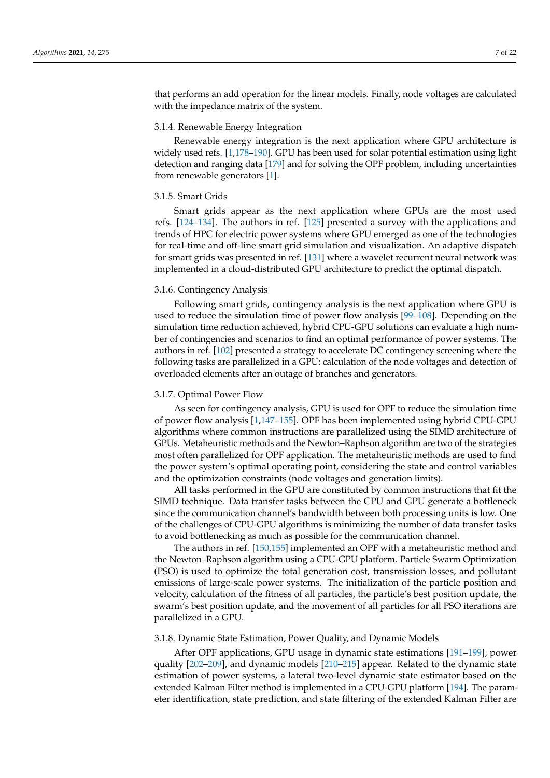that performs an add operation for the linear models. Finally, node voltages are calculated with the impedance matrix of the system.

# 3.1.4. Renewable Energy Integration

Renewable energy integration is the next application where GPU architecture is widely used refs. [\[1,](#page-11-0)[178](#page-18-1)[–190\]](#page-19-0). GPU has been used for solar potential estimation using light detection and ranging data [\[179\]](#page-18-4) and for solving the OPF problem, including uncertainties from renewable generators [\[1\]](#page-11-0).

# 3.1.5. Smart Grids

Smart grids appear as the next application where GPUs are the most used refs. [\[124](#page-16-1)[–134\]](#page-16-2). The authors in ref. [\[125\]](#page-16-4) presented a survey with the applications and trends of HPC for electric power systems where GPU emerged as one of the technologies for real-time and off-line smart grid simulation and visualization. An adaptive dispatch for smart grids was presented in ref. [\[131\]](#page-16-5) where a wavelet recurrent neural network was implemented in a cloud-distributed GPU architecture to predict the optimal dispatch.

### 3.1.6. Contingency Analysis

Following smart grids, contingency analysis is the next application where GPU is used to reduce the simulation time of power flow analysis [\[99](#page-15-1)[–108\]](#page-15-2). Depending on the simulation time reduction achieved, hybrid CPU-GPU solutions can evaluate a high number of contingencies and scenarios to find an optimal performance of power systems. The authors in ref. [\[102\]](#page-15-7) presented a strategy to accelerate DC contingency screening where the following tasks are parallelized in a GPU: calculation of the node voltages and detection of overloaded elements after an outage of branches and generators.

# 3.1.7. Optimal Power Flow

As seen for contingency analysis, GPU is used for OPF to reduce the simulation time of power flow analysis [\[1](#page-11-0)[,147](#page-17-1)[–155\]](#page-17-2). OPF has been implemented using hybrid CPU-GPU algorithms where common instructions are parallelized using the SIMD architecture of GPUs. Metaheuristic methods and the Newton–Raphson algorithm are two of the strategies most often parallelized for OPF application. The metaheuristic methods are used to find the power system's optimal operating point, considering the state and control variables and the optimization constraints (node voltages and generation limits).

All tasks performed in the GPU are constituted by common instructions that fit the SIMD technique. Data transfer tasks between the CPU and GPU generate a bottleneck since the communication channel's bandwidth between both processing units is low. One of the challenges of CPU-GPU algorithms is minimizing the number of data transfer tasks to avoid bottlenecking as much as possible for the communication channel.

The authors in ref. [\[150](#page-17-6)[,155\]](#page-17-2) implemented an OPF with a metaheuristic method and the Newton–Raphson algorithm using a CPU-GPU platform. Particle Swarm Optimization (PSO) is used to optimize the total generation cost, transmission losses, and pollutant emissions of large-scale power systems. The initialization of the particle position and velocity, calculation of the fitness of all particles, the particle's best position update, the swarm's best position update, and the movement of all particles for all PSO iterations are parallelized in a GPU.

## 3.1.8. Dynamic State Estimation, Power Quality, and Dynamic Models

After OPF applications, GPU usage in dynamic state estimations [\[191–](#page-19-1)[199\]](#page-19-2), power quality [\[202](#page-19-5)[–209\]](#page-19-6), and dynamic models [\[210–](#page-19-7)[215\]](#page-19-8) appear. Related to the dynamic state estimation of power systems, a lateral two-level dynamic state estimator based on the extended Kalman Filter method is implemented in a CPU-GPU platform [\[194\]](#page-19-9). The parameter identification, state prediction, and state filtering of the extended Kalman Filter are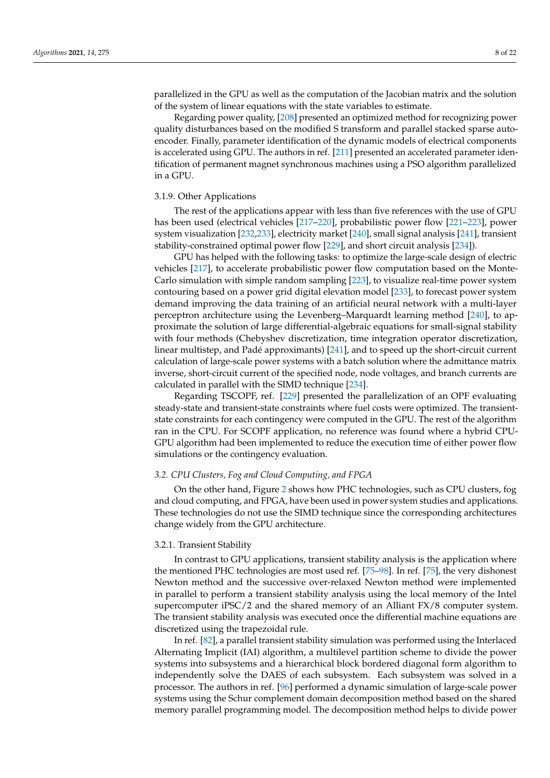parallelized in the GPU as well as the computation of the Jacobian matrix and the solution of the system of linear equations with the state variables to estimate.

Regarding power quality, [\[208\]](#page-19-10) presented an optimized method for recognizing power quality disturbances based on the modified S transform and parallel stacked sparse autoencoder. Finally, parameter identification of the dynamic models of electrical components is accelerated using GPU. The authors in ref. [\[211\]](#page-19-11) presented an accelerated parameter identification of permanent magnet synchronous machines using a PSO algorithm parallelized in a GPU.

# 3.1.9. Other Applications

The rest of the applications appear with less than five references with the use of GPU has been used (electrical vehicles [\[217](#page-20-1)[–220\]](#page-20-2), probabilistic power flow [\[221](#page-20-3)[–223\]](#page-20-4), power system visualization [\[232,](#page-20-11)[233\]](#page-20-12), electricity market [\[240\]](#page-20-19), small signal analysis [\[241\]](#page-20-20), transient stability-constrained optimal power flow [\[229\]](#page-20-8), and short circuit analysis [\[234\]](#page-20-13)).

GPU has helped with the following tasks: to optimize the large-scale design of electric vehicles [\[217\]](#page-20-1), to accelerate probabilistic power flow computation based on the Monte-Carlo simulation with simple random sampling [\[223\]](#page-20-4), to visualize real-time power system contouring based on a power grid digital elevation model [\[233\]](#page-20-12), to forecast power system demand improving the data training of an artificial neural network with a multi-layer perceptron architecture using the Levenberg–Marquardt learning method [\[240\]](#page-20-19), to approximate the solution of large differential-algebraic equations for small-signal stability with four methods (Chebyshev discretization, time integration operator discretization, linear multistep, and Padé approximants) [\[241\]](#page-20-20), and to speed up the short-circuit current calculation of large-scale power systems with a batch solution where the admittance matrix inverse, short-circuit current of the specified node, node voltages, and branch currents are calculated in parallel with the SIMD technique [\[234\]](#page-20-13).

Regarding TSCOPF, ref. [\[229\]](#page-20-8) presented the parallelization of an OPF evaluating steady-state and transient-state constraints where fuel costs were optimized. The transientstate constraints for each contingency were computed in the GPU. The rest of the algorithm ran in the CPU. For SCOPF application, no reference was found where a hybrid CPU-GPU algorithm had been implemented to reduce the execution time of either power flow simulations or the contingency evaluation.

# *3.2. CPU Clusters, Fog and Cloud Computing, and FPGA*

On the other hand, Figure [2](#page-5-0) shows how PHC technologies, such as CPU clusters, fog and cloud computing, and FPGA, have been used in power system studies and applications. These technologies do not use the SIMD technique since the corresponding architectures change widely from the GPU architecture.

#### 3.2.1. Transient Stability

In contrast to GPU applications, transient stability analysis is the application where the mentioned PHC technologies are most used ref. [\[75–](#page-14-1)[98\]](#page-15-0). In ref. [\[75\]](#page-14-1), the very dishonest Newton method and the successive over-relaxed Newton method were implemented in parallel to perform a transient stability analysis using the local memory of the Intel supercomputer iPSC/2 and the shared memory of an Alliant FX/8 computer system. The transient stability analysis was executed once the differential machine equations are discretized using the trapezoidal rule.

In ref. [\[82\]](#page-14-2), a parallel transient stability simulation was performed using the Interlaced Alternating Implicit (IAI) algorithm, a multilevel partition scheme to divide the power systems into subsystems and a hierarchical block bordered diagonal form algorithm to independently solve the DAES of each subsystem. Each subsystem was solved in a processor. The authors in ref. [\[96\]](#page-15-8) performed a dynamic simulation of large-scale power systems using the Schur complement domain decomposition method based on the shared memory parallel programming model. The decomposition method helps to divide power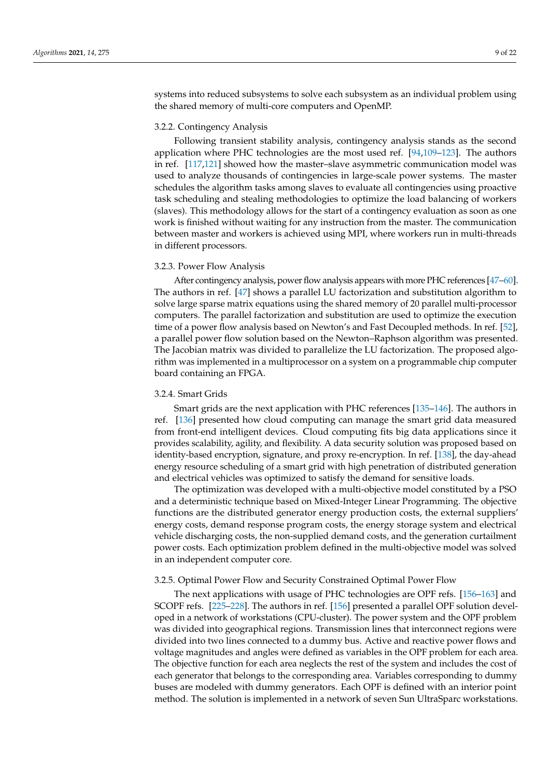systems into reduced subsystems to solve each subsystem as an individual problem using the shared memory of multi-core computers and OpenMP.

#### 3.2.2. Contingency Analysis

Following transient stability analysis, contingency analysis stands as the second application where PHC technologies are the most used ref. [\[94,](#page-15-3)[109](#page-15-4)[–123\]](#page-16-0). The authors in ref. [\[117](#page-16-6)[,121\]](#page-16-7) showed how the master–slave asymmetric communication model was used to analyze thousands of contingencies in large-scale power systems. The master schedules the algorithm tasks among slaves to evaluate all contingencies using proactive task scheduling and stealing methodologies to optimize the load balancing of workers (slaves). This methodology allows for the start of a contingency evaluation as soon as one work is finished without waiting for any instruction from the master. The communication between master and workers is achieved using MPI, where workers run in multi-threads in different processors.

# 3.2.3. Power Flow Analysis

After contingency analysis, power flow analysis appears with more PHC references [\[47](#page-13-1)[–60\]](#page-13-2). The authors in ref. [\[47\]](#page-13-1) shows a parallel LU factorization and substitution algorithm to solve large sparse matrix equations using the shared memory of 20 parallel multi-processor computers. The parallel factorization and substitution are used to optimize the execution time of a power flow analysis based on Newton's and Fast Decoupled methods. In ref. [\[52\]](#page-13-6), a parallel power flow solution based on the Newton–Raphson algorithm was presented. The Jacobian matrix was divided to parallelize the LU factorization. The proposed algorithm was implemented in a multiprocessor on a system on a programmable chip computer board containing an FPGA.

#### 3.2.4. Smart Grids

Smart grids are the next application with PHC references [\[135–](#page-16-3)[146\]](#page-17-0). The authors in ref. [\[136\]](#page-16-8) presented how cloud computing can manage the smart grid data measured from front-end intelligent devices. Cloud computing fits big data applications since it provides scalability, agility, and flexibility. A data security solution was proposed based on identity-based encryption, signature, and proxy re-encryption. In ref. [\[138\]](#page-17-7), the day-ahead energy resource scheduling of a smart grid with high penetration of distributed generation and electrical vehicles was optimized to satisfy the demand for sensitive loads.

The optimization was developed with a multi-objective model constituted by a PSO and a deterministic technique based on Mixed-Integer Linear Programming. The objective functions are the distributed generator energy production costs, the external suppliers' energy costs, demand response program costs, the energy storage system and electrical vehicle discharging costs, the non-supplied demand costs, and the generation curtailment power costs. Each optimization problem defined in the multi-objective model was solved in an independent computer core.

# 3.2.5. Optimal Power Flow and Security Constrained Optimal Power Flow

The next applications with usage of PHC technologies are OPF refs. [\[156–](#page-17-3)[163\]](#page-17-4) and SCOPF refs. [\[225](#page-20-6)[–228\]](#page-20-7). The authors in ref. [\[156\]](#page-17-3) presented a parallel OPF solution developed in a network of workstations (CPU-cluster). The power system and the OPF problem was divided into geographical regions. Transmission lines that interconnect regions were divided into two lines connected to a dummy bus. Active and reactive power flows and voltage magnitudes and angles were defined as variables in the OPF problem for each area. The objective function for each area neglects the rest of the system and includes the cost of each generator that belongs to the corresponding area. Variables corresponding to dummy buses are modeled with dummy generators. Each OPF is defined with an interior point method. The solution is implemented in a network of seven Sun UltraSparc workstations.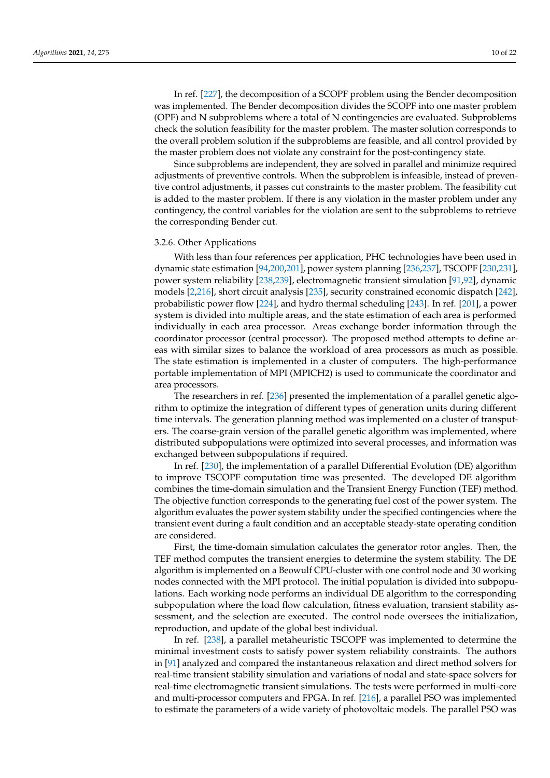In ref. [\[227\]](#page-20-21), the decomposition of a SCOPF problem using the Bender decomposition was implemented. The Bender decomposition divides the SCOPF into one master problem (OPF) and N subproblems where a total of N contingencies are evaluated. Subproblems check the solution feasibility for the master problem. The master solution corresponds to the overall problem solution if the subproblems are feasible, and all control provided by the master problem does not violate any constraint for the post-contingency state.

Since subproblems are independent, they are solved in parallel and minimize required adjustments of preventive controls. When the subproblem is infeasible, instead of preventive control adjustments, it passes cut constraints to the master problem. The feasibility cut is added to the master problem. If there is any violation in the master problem under any contingency, the control variables for the violation are sent to the subproblems to retrieve the corresponding Bender cut.

# 3.2.6. Other Applications

With less than four references per application, PHC technologies have been used in dynamic state estimation [\[94,](#page-15-3)[200,](#page-19-3)[201\]](#page-19-4), power system planning [\[236,](#page-20-15)[237\]](#page-20-16), TSCOPF [\[230](#page-20-9)[,231\]](#page-20-10), power system reliability [\[238](#page-20-17)[,239\]](#page-20-18), electromagnetic transient simulation [\[91](#page-15-5)[,92\]](#page-15-6), dynamic models [\[2](#page-11-1)[,216\]](#page-20-0), short circuit analysis [\[235\]](#page-20-14), security constrained economic dispatch [\[242\]](#page-21-0), probabilistic power flow [\[224\]](#page-20-5), and hydro thermal scheduling [\[243\]](#page-21-1). In ref. [\[201\]](#page-19-4), a power system is divided into multiple areas, and the state estimation of each area is performed individually in each area processor. Areas exchange border information through the coordinator processor (central processor). The proposed method attempts to define areas with similar sizes to balance the workload of area processors as much as possible. The state estimation is implemented in a cluster of computers. The high-performance portable implementation of MPI (MPICH2) is used to communicate the coordinator and area processors.

The researchers in ref. [\[236\]](#page-20-15) presented the implementation of a parallel genetic algorithm to optimize the integration of different types of generation units during different time intervals. The generation planning method was implemented on a cluster of transputers. The coarse-grain version of the parallel genetic algorithm was implemented, where distributed subpopulations were optimized into several processes, and information was exchanged between subpopulations if required.

In ref. [\[230\]](#page-20-9), the implementation of a parallel Differential Evolution (DE) algorithm to improve TSCOPF computation time was presented. The developed DE algorithm combines the time-domain simulation and the Transient Energy Function (TEF) method. The objective function corresponds to the generating fuel cost of the power system. The algorithm evaluates the power system stability under the specified contingencies where the transient event during a fault condition and an acceptable steady-state operating condition are considered.

First, the time-domain simulation calculates the generator rotor angles. Then, the TEF method computes the transient energies to determine the system stability. The DE algorithm is implemented on a Beowulf CPU-cluster with one control node and 30 working nodes connected with the MPI protocol. The initial population is divided into subpopulations. Each working node performs an individual DE algorithm to the corresponding subpopulation where the load flow calculation, fitness evaluation, transient stability assessment, and the selection are executed. The control node oversees the initialization, reproduction, and update of the global best individual.

In ref. [\[238\]](#page-20-17), a parallel metaheuristic TSCOPF was implemented to determine the minimal investment costs to satisfy power system reliability constraints. The authors in [\[91\]](#page-15-5) analyzed and compared the instantaneous relaxation and direct method solvers for real-time transient stability simulation and variations of nodal and state-space solvers for real-time electromagnetic transient simulations. The tests were performed in multi-core and multi-processor computers and FPGA. In ref. [\[216\]](#page-20-0), a parallel PSO was implemented to estimate the parameters of a wide variety of photovoltaic models. The parallel PSO was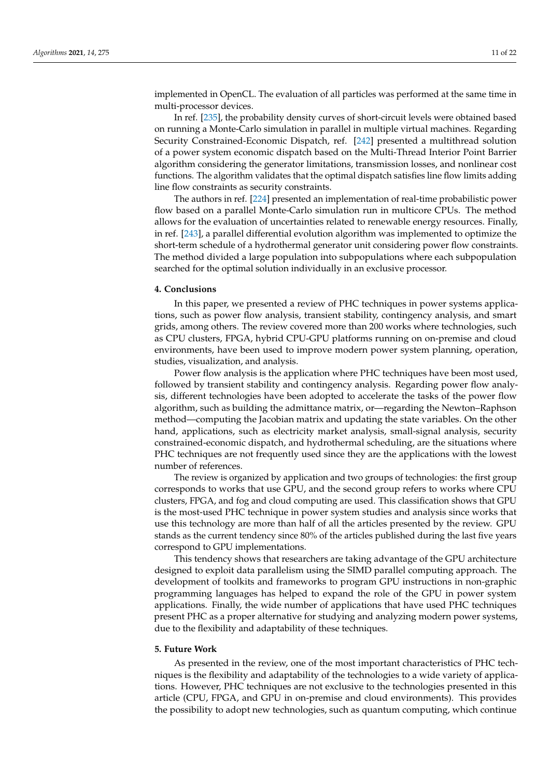implemented in OpenCL. The evaluation of all particles was performed at the same time in multi-processor devices.

In ref. [\[235\]](#page-20-14), the probability density curves of short-circuit levels were obtained based on running a Monte-Carlo simulation in parallel in multiple virtual machines. Regarding Security Constrained-Economic Dispatch, ref. [\[242\]](#page-21-0) presented a multithread solution of a power system economic dispatch based on the Multi-Thread Interior Point Barrier algorithm considering the generator limitations, transmission losses, and nonlinear cost functions. The algorithm validates that the optimal dispatch satisfies line flow limits adding line flow constraints as security constraints.

The authors in ref. [\[224\]](#page-20-5) presented an implementation of real-time probabilistic power flow based on a parallel Monte-Carlo simulation run in multicore CPUs. The method allows for the evaluation of uncertainties related to renewable energy resources. Finally, in ref. [\[243\]](#page-21-1), a parallel differential evolution algorithm was implemented to optimize the short-term schedule of a hydrothermal generator unit considering power flow constraints. The method divided a large population into subpopulations where each subpopulation searched for the optimal solution individually in an exclusive processor.

#### <span id="page-10-0"></span>**4. Conclusions**

In this paper, we presented a review of PHC techniques in power systems applications, such as power flow analysis, transient stability, contingency analysis, and smart grids, among others. The review covered more than 200 works where technologies, such as CPU clusters, FPGA, hybrid CPU-GPU platforms running on on-premise and cloud environments, have been used to improve modern power system planning, operation, studies, visualization, and analysis.

Power flow analysis is the application where PHC techniques have been most used, followed by transient stability and contingency analysis. Regarding power flow analysis, different technologies have been adopted to accelerate the tasks of the power flow algorithm, such as building the admittance matrix, or—regarding the Newton–Raphson method—computing the Jacobian matrix and updating the state variables. On the other hand, applications, such as electricity market analysis, small-signal analysis, security constrained-economic dispatch, and hydrothermal scheduling, are the situations where PHC techniques are not frequently used since they are the applications with the lowest number of references.

The review is organized by application and two groups of technologies: the first group corresponds to works that use GPU, and the second group refers to works where CPU clusters, FPGA, and fog and cloud computing are used. This classification shows that GPU is the most-used PHC technique in power system studies and analysis since works that use this technology are more than half of all the articles presented by the review. GPU stands as the current tendency since 80% of the articles published during the last five years correspond to GPU implementations.

This tendency shows that researchers are taking advantage of the GPU architecture designed to exploit data parallelism using the SIMD parallel computing approach. The development of toolkits and frameworks to program GPU instructions in non-graphic programming languages has helped to expand the role of the GPU in power system applications. Finally, the wide number of applications that have used PHC techniques present PHC as a proper alternative for studying and analyzing modern power systems, due to the flexibility and adaptability of these techniques.

# <span id="page-10-1"></span>**5. Future Work**

As presented in the review, one of the most important characteristics of PHC techniques is the flexibility and adaptability of the technologies to a wide variety of applications. However, PHC techniques are not exclusive to the technologies presented in this article (CPU, FPGA, and GPU in on-premise and cloud environments). This provides the possibility to adopt new technologies, such as quantum computing, which continue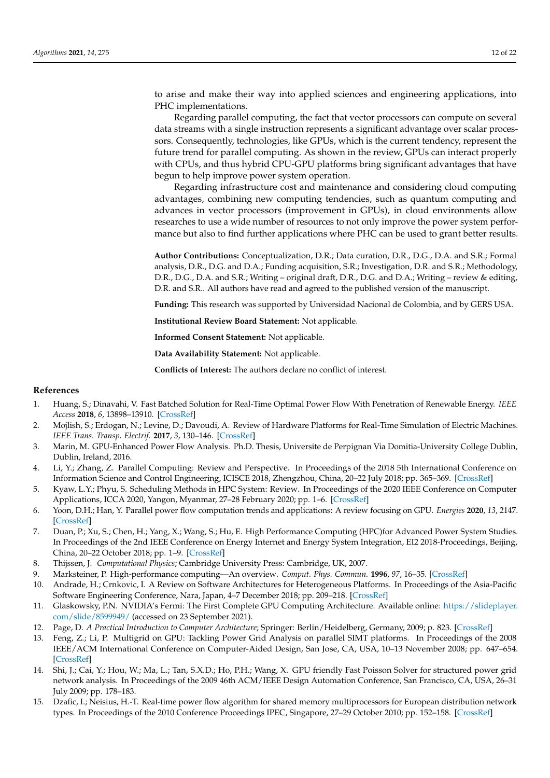to arise and make their way into applied sciences and engineering applications, into PHC implementations.

Regarding parallel computing, the fact that vector processors can compute on several data streams with a single instruction represents a significant advantage over scalar processors. Consequently, technologies, like GPUs, which is the current tendency, represent the future trend for parallel computing. As shown in the review, GPUs can interact properly with CPUs, and thus hybrid CPU-GPU platforms bring significant advantages that have begun to help improve power system operation.

Regarding infrastructure cost and maintenance and considering cloud computing advantages, combining new computing tendencies, such as quantum computing and advances in vector processors (improvement in GPUs), in cloud environments allow researches to use a wide number of resources to not only improve the power system performance but also to find further applications where PHC can be used to grant better results.

**Author Contributions:** Conceptualization, D.R.; Data curation, D.R., D.G., D.A. and S.R.; Formal analysis, D.R., D.G. and D.A.; Funding acquisition, S.R.; Investigation, D.R. and S.R.; Methodology, D.R., D.G., D.A. and S.R.; Writing – original draft, D.R., D.G. and D.A.; Writing – review & editing, D.R. and S.R.. All authors have read and agreed to the published version of the manuscript.

**Funding:** This research was supported by Universidad Nacional de Colombia, and by GERS USA.

**Institutional Review Board Statement:** Not applicable.

**Informed Consent Statement:** Not applicable.

**Data Availability Statement:** Not applicable.

**Conflicts of Interest:** The authors declare no conflict of interest.

## **References**

- <span id="page-11-0"></span>1. Huang, S.; Dinavahi, V. Fast Batched Solution for Real-Time Optimal Power Flow With Penetration of Renewable Energy. *IEEE Access* **2018**, *6*, 13898–13910. [\[CrossRef\]](http://doi.org/10.1109/ACCESS.2018.2812084)
- <span id="page-11-1"></span>2. Mojlish, S.; Erdogan, N.; Levine, D.; Davoudi, A. Review of Hardware Platforms for Real-Time Simulation of Electric Machines. *IEEE Trans. Transp. Electrif.* **2017**, *3*, 130–146. [\[CrossRef\]](http://dx.doi.org/10.1109/TTE.2017.2656141)
- 3. Marin, M. GPU-Enhanced Power Flow Analysis. Ph.D. Thesis, Universite de Perpignan Via Domitia-University College Dublin, Dublin, Ireland, 2016.
- <span id="page-11-3"></span>4. Li, Y.; Zhang, Z. Parallel Computing: Review and Perspective. In Proceedings of the 2018 5th International Conference on Information Science and Control Engineering, ICISCE 2018, Zhengzhou, China, 20–22 July 2018; pp. 365–369. [\[CrossRef\]](http://dx.doi.org/10.1109/ICISCE.2018.00083)
- <span id="page-11-4"></span>5. Kyaw, L.Y.; Phyu, S. Scheduling Methods in HPC System: Review. In Proceedings of the 2020 IEEE Conference on Computer Applications, ICCA 2020, Yangon, Myanmar, 27–28 February 2020; pp. 1–6. [\[CrossRef\]](http://dx.doi.org/10.1109/ICCA49400.2020.9022849)
- <span id="page-11-2"></span>6. Yoon, D.H.; Han, Y. Parallel power flow computation trends and applications: A review focusing on GPU. *Energies* **2020**, *13*, 2147. [\[CrossRef\]](http://dx.doi.org/10.3390/en13092147)
- <span id="page-11-5"></span>7. Duan, P.; Xu, S.; Chen, H.; Yang, X.; Wang, S.; Hu, E. High Performance Computing (HPC)for Advanced Power System Studies. In Proceedings of the 2nd IEEE Conference on Energy Internet and Energy System Integration, EI2 2018-Proceedings, Beijing, China, 20–22 October 2018; pp. 1–9. [\[CrossRef\]](http://dx.doi.org/10.1109/EI2.2018.8582482)
- <span id="page-11-6"></span>8. Thijssen, J. *Computational Physics*; Cambridge University Press: Cambridge, UK, 2007.
- <span id="page-11-7"></span>9. Marksteiner, P. High-performance computing—An overview. *Comput. Phys. Commun.* **1996**, *97*, 16–35. [\[CrossRef\]](http://dx.doi.org/10.1016/0010-4655(96)00018-5)
- <span id="page-11-8"></span>10. Andrade, H.; Crnkovic, I. A Review on Software Architectures for Heterogeneous Platforms. In Proceedings of the Asia-Pacific Software Engineering Conference, Nara, Japan, 4–7 December 2018; pp. 209–218. [\[CrossRef\]](http://dx.doi.org/10.1109/APSEC.2018.00035)
- <span id="page-11-9"></span>11. Glaskowsky, P.N. NVIDIA's Fermi: The First Complete GPU Computing Architecture. Available online: [https://slideplayer.](https://slideplayer.com/slide/8599949/) [com/slide/8599949/](https://slideplayer.com/slide/8599949/) (accessed on 23 September 2021).
- <span id="page-11-10"></span>12. Page, D. *A Practical Introduction to Computer Architecture*; Springer: Berlin/Heidelberg, Germany, 2009; p. 823. [\[CrossRef\]](http://dx.doi.org/10.1007/978-1-84882-256-6)
- <span id="page-11-11"></span>13. Feng, Z.; Li, P. Multigrid on GPU: Tackling Power Grid Analysis on parallel SIMT platforms. In Proceedings of the 2008 IEEE/ACM International Conference on Computer-Aided Design, San Jose, CA, USA, 10–13 November 2008; pp. 647–654. [\[CrossRef\]](http://dx.doi.org/10.1109/ICCAD.2008.4681645)
- 14. Shi, J.; Cai, Y.; Hou, W.; Ma, L.; Tan, S.X.D.; Ho, P.H.; Wang, X. GPU friendly Fast Poisson Solver for structured power grid network analysis. In Proceedings of the 2009 46th ACM/IEEE Design Automation Conference, San Francisco, CA, USA, 26–31 July 2009; pp. 178–183.
- 15. Dzafic, I.; Neisius, H.-T. Real-time power flow algorithm for shared memory multiprocessors for European distribution network types. In Proceedings of the 2010 Conference Proceedings IPEC, Singapore, 27–29 October 2010; pp. 152–158. [\[CrossRef\]](http://dx.doi.org/10.1109/IPECON.2010.5697097)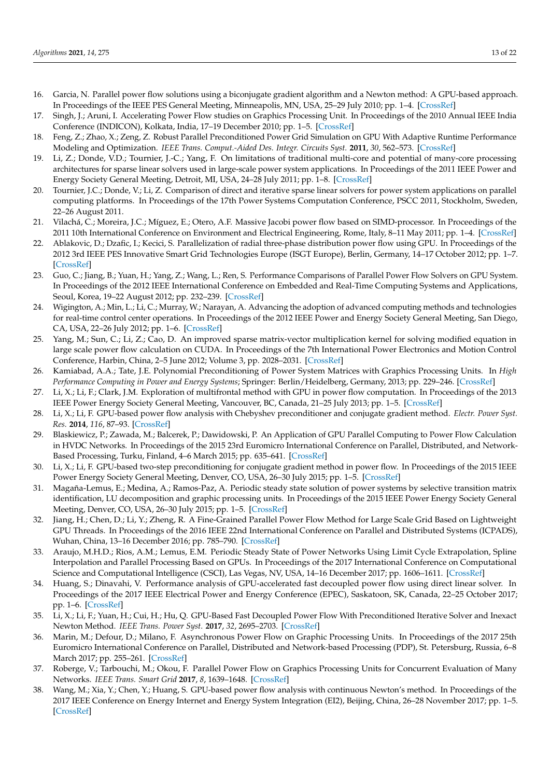- 16. Garcia, N. Parallel power flow solutions using a biconjugate gradient algorithm and a Newton method: A GPU-based approach. In Proceedings of the IEEE PES General Meeting, Minneapolis, MN, USA, 25–29 July 2010; pp. 1–4. [\[CrossRef\]](http://dx.doi.org/10.1109/PES.2010.5589682)
- 17. Singh, J.; Aruni, I. Accelerating Power Flow studies on Graphics Processing Unit. In Proceedings of the 2010 Annual IEEE India Conference (INDICON), Kolkata, India, 17–19 December 2010; pp. 1–5. [\[CrossRef\]](http://dx.doi.org/10.1109/INDCON.2010.5712651)
- <span id="page-12-0"></span>18. Feng, Z.; Zhao, X.; Zeng, Z. Robust Parallel Preconditioned Power Grid Simulation on GPU With Adaptive Runtime Performance Modeling and Optimization. *IEEE Trans. Comput.-Aided Des. Integr. Circuits Syst.* **2011**, *30*, 562–573. [\[CrossRef\]](http://dx.doi.org/10.1109/TCAD.2010.2091437)
- 19. Li, Z.; Donde, V.D.; Tournier, J.-C.; Yang, F. On limitations of traditional multi-core and potential of many-core processing architectures for sparse linear solvers used in large-scale power system applications. In Proceedings of the 2011 IEEE Power and Energy Society General Meeting, Detroit, MI, USA, 24–28 July 2011; pp. 1–8. [\[CrossRef\]](http://dx.doi.org/10.1109/PES.2011.6039675)
- 20. Tournier, J.C.; Donde, V.; Li, Z. Comparison of direct and iterative sparse linear solvers for power system applications on parallel computing platforms. In Proceedings of the 17th Power Systems Computation Conference, PSCC 2011, Stockholm, Sweden, 22–26 August 2011.
- 21. Vilachá, C.; Moreira, J.C.; Míguez, E.; Otero, A.F. Massive Jacobi power flow based on SIMD-processor. In Proceedings of the 2011 10th International Conference on Environment and Electrical Engineering, Rome, Italy, 8–11 May 2011; pp. 1–4. [\[CrossRef\]](http://dx.doi.org/10.1109/EEEIC.2011.5874768)
- 22. Ablakovic, D.; Dzafic, I.; Kecici, S. Parallelization of radial three-phase distribution power flow using GPU. In Proceedings of the 2012 3rd IEEE PES Innovative Smart Grid Technologies Europe (ISGT Europe), Berlin, Germany, 14–17 October 2012; pp. 1–7. [\[CrossRef\]](http://dx.doi.org/10.1109/ISGTEurope.2012.6465854)
- 23. Guo, C.; Jiang, B.; Yuan, H.; Yang, Z.; Wang, L.; Ren, S. Performance Comparisons of Parallel Power Flow Solvers on GPU System. In Proceedings of the 2012 IEEE International Conference on Embedded and Real-Time Computing Systems and Applications, Seoul, Korea, 19–22 August 2012; pp. 232–239. [\[CrossRef\]](http://dx.doi.org/10.1109/RTCSA.2012.36)
- 24. Wigington, A.; Min, L.; Li, C.; Murray, W.; Narayan, A. Advancing the adoption of advanced computing methods and technologies for real-time control center operations. In Proceedings of the 2012 IEEE Power and Energy Society General Meeting, San Diego, CA, USA, 22–26 July 2012; pp. 1–6. [\[CrossRef\]](http://dx.doi.org/10.1109/PESGM.2012.6345088)
- 25. Yang, M.; Sun, C.; Li, Z.; Cao, D. An improved sparse matrix-vector multiplication kernel for solving modified equation in large scale power flow calculation on CUDA. In Proceedings of the 7th International Power Electronics and Motion Control Conference, Harbin, China, 2–5 June 2012; Volume 3, pp. 2028–2031. [\[CrossRef\]](http://dx.doi.org/10.1109/IPEMC.2012.6259153)
- 26. Kamiabad, A.A.; Tate, J.E. Polynomial Preconditioning of Power System Matrices with Graphics Processing Units. In *High Performance Computing in Power and Energy Systems*; Springer: Berlin/Heidelberg, Germany, 2013; pp. 229–246. [\[CrossRef\]](http://dx.doi.org/10.1007/978-3-642-32683-7_8)
- 27. Li, X.; Li, F.; Clark, J.M. Exploration of multifrontal method with GPU in power flow computation. In Proceedings of the 2013 IEEE Power Energy Society General Meeting, Vancouver, BC, Canada, 21–25 July 2013; pp. 1–5. [\[CrossRef\]](http://dx.doi.org/10.1109/PESMG.2013.6673057)
- <span id="page-12-1"></span>28. Li, X.; Li, F. GPU-based power flow analysis with Chebyshev preconditioner and conjugate gradient method. *Electr. Power Syst. Res.* **2014**, *116*, 87–93. [\[CrossRef\]](http://dx.doi.org/10.1016/j.epsr.2014.05.005)
- 29. Blaskiewicz, P.; Zawada, M.; Balcerek, P.; Dawidowski, P. An Application of GPU Parallel Computing to Power Flow Calculation in HVDC Networks. In Proceedings of the 2015 23rd Euromicro International Conference on Parallel, Distributed, and Network-Based Processing, Turku, Finland, 4–6 March 2015; pp. 635–641. [\[CrossRef\]](http://dx.doi.org/10.1109/PDP.2015.110)
- 30. Li, X.; Li, F. GPU-based two-step preconditioning for conjugate gradient method in power flow. In Proceedings of the 2015 IEEE Power Energy Society General Meeting, Denver, CO, USA, 26–30 July 2015; pp. 1–5. [\[CrossRef\]](http://dx.doi.org/10.1109/PESGM.2015.7286544)
- 31. Magaña-Lemus, E.; Medina, A.; Ramos-Paz, A. Periodic steady state solution of power systems by selective transition matrix identification, LU decomposition and graphic processing units. In Proceedings of the 2015 IEEE Power Energy Society General Meeting, Denver, CO, USA, 26–30 July 2015; pp. 1–5. [\[CrossRef\]](http://dx.doi.org/10.1109/PESGM.2015.7286021)
- 32. Jiang, H.; Chen, D.; Li, Y.; Zheng, R. A Fine-Grained Parallel Power Flow Method for Large Scale Grid Based on Lightweight GPU Threads. In Proceedings of the 2016 IEEE 22nd International Conference on Parallel and Distributed Systems (ICPADS), Wuhan, China, 13–16 December 2016; pp. 785–790. [\[CrossRef\]](http://dx.doi.org/10.1109/ICPADS.2016.0107)
- 33. Araujo, M.H.D.; Rios, A.M.; Lemus, E.M. Periodic Steady State of Power Networks Using Limit Cycle Extrapolation, Spline Interpolation and Parallel Processing Based on GPUs. In Proceedings of the 2017 International Conference on Computational Science and Computational Intelligence (CSCI), Las Vegas, NV, USA, 14–16 December 2017; pp. 1606–1611. [\[CrossRef\]](http://dx.doi.org/10.1109/CSCI.2017.279)
- 34. Huang, S.; Dinavahi, V. Performance analysis of GPU-accelerated fast decoupled power flow using direct linear solver. In Proceedings of the 2017 IEEE Electrical Power and Energy Conference (EPEC), Saskatoon, SK, Canada, 22–25 October 2017; pp. 1–6. [\[CrossRef\]](http://dx.doi.org/10.1109/EPEC.2017.8286158)
- <span id="page-12-2"></span>35. Li, X.; Li, F.; Yuan, H.; Cui, H.; Hu, Q. GPU-Based Fast Decoupled Power Flow With Preconditioned Iterative Solver and Inexact Newton Method. *IEEE Trans. Power Syst.* **2017**, *32*, 2695–2703. [\[CrossRef\]](http://dx.doi.org/10.1109/TPWRS.2016.2618889)
- 36. Marin, M.; Defour, D.; Milano, F. Asynchronous Power Flow on Graphic Processing Units. In Proceedings of the 2017 25th Euromicro International Conference on Parallel, Distributed and Network-based Processing (PDP), St. Petersburg, Russia, 6–8 March 2017; pp. 255–261. [\[CrossRef\]](http://dx.doi.org/10.1109/PDP.2017.38)
- <span id="page-12-3"></span>37. Roberge, V.; Tarbouchi, M.; Okou, F. Parallel Power Flow on Graphics Processing Units for Concurrent Evaluation of Many Networks. *IEEE Trans. Smart Grid* **2017**, *8*, 1639–1648. [\[CrossRef\]](http://dx.doi.org/10.1109/TSG.2015.2496298)
- 38. Wang, M.; Xia, Y.; Chen, Y.; Huang, S. GPU-based power flow analysis with continuous Newton's method. In Proceedings of the 2017 IEEE Conference on Energy Internet and Energy System Integration (EI2), Beijing, China, 26–28 November 2017; pp. 1–5. [\[CrossRef\]](http://dx.doi.org/10.1109/EI2.2017.8245623)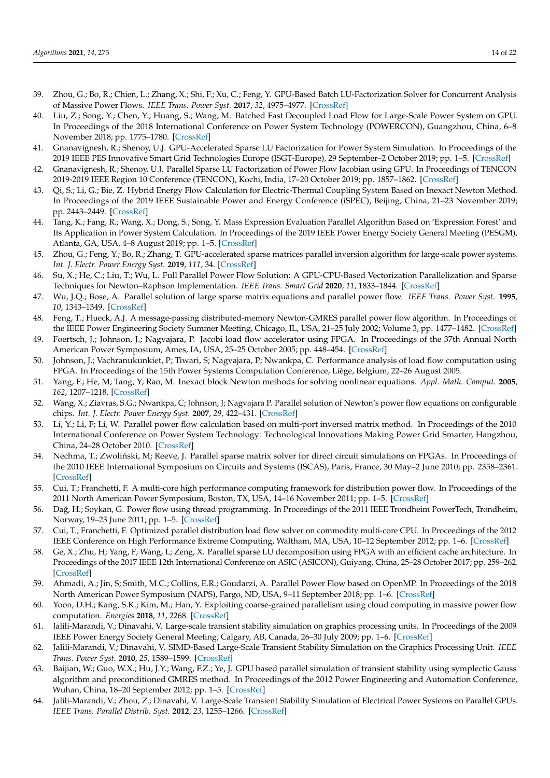- 39. Zhou, G.; Bo, R.; Chien, L.; Zhang, X.; Shi, F.; Xu, C.; Feng, Y. GPU-Based Batch LU-Factorization Solver for Concurrent Analysis of Massive Power Flows. *IEEE Trans. Power Syst.* **2017**, *32*, 4975–4977. [\[CrossRef\]](http://dx.doi.org/10.1109/TPWRS.2017.2662322)
- 40. Liu, Z.; Song, Y.; Chen, Y.; Huang, S.; Wang, M. Batched Fast Decoupled Load Flow for Large-Scale Power System on GPU. In Proceedings of the 2018 International Conference on Power System Technology (POWERCON), Guangzhou, China, 6–8 November 2018; pp. 1775–1780. [\[CrossRef\]](http://dx.doi.org/10.1109/POWERCON.2018.8602032)
- 41. Gnanavignesh, R.; Shenoy, U.J. GPU-Accelerated Sparse LU Factorization for Power System Simulation. In Proceedings of the 2019 IEEE PES Innovative Smart Grid Technologies Europe (ISGT-Europe), 29 September–2 October 2019; pp. 1–5. [\[CrossRef\]](http://dx.doi.org/10.1109/ISGTEurope.2019.8905648)
- 42. Gnanavignesh, R.; Shenoy, U.J. Parallel Sparse LU Factorization of Power Flow Jacobian using GPU. In Proceedings of TENCON 2019-2019 IEEE Region 10 Conference (TENCON), Kochi, India, 17–20 October 2019; pp. 1857–1862. [\[CrossRef\]](http://dx.doi.org/10.1109/TENCON.2019.8929321)
- 43. Qi, S.; Li, G.; Bie, Z. Hybrid Energy Flow Calculation for Electric-Thermal Coupling System Based on Inexact Newton Method. In Proceedings of the 2019 IEEE Sustainable Power and Energy Conference (iSPEC), Beijing, China, 21–23 November 2019; pp. 2443–2449. [\[CrossRef\]](http://dx.doi.org/10.1109/iSPEC48194.2019.8975152)
- 44. Tang, K.; Fang, R.; Wang, X.; Dong, S.; Song, Y. Mass Expression Evaluation Parallel Algorithm Based on 'Expression Forest' and Its Application in Power System Calculation. In Proceedings of the 2019 IEEE Power Energy Society General Meeting (PESGM), Atlanta, GA, USA, 4–8 August 2019; pp. 1–5. [\[CrossRef\]](http://dx.doi.org/10.1109/PESGM40551.2019.8974025)
- 45. Zhou, G.; Feng, Y.; Bo, R.; Zhang, T. GPU-accelerated sparse matrices parallel inversion algorithm for large-scale power systems. *Int. J. Electr. Power Energy Syst.* **2019**, *111*, 34. [\[CrossRef\]](http://dx.doi.org/10.1016/j.ijepes.2019.03.074)
- <span id="page-13-0"></span>46. Su, X.; He, C.; Liu, T.; Wu, L. Full Parallel Power Flow Solution: A GPU-CPU-Based Vectorization Parallelization and Sparse Techniques for Newton–Raphson Implementation. *IEEE Trans. Smart Grid* **2020**, *11*, 1833–1844. [\[CrossRef\]](http://dx.doi.org/10.1109/TSG.2019.2943746)
- <span id="page-13-1"></span>47. Wu, J.Q.; Bose, A. Parallel solution of large sparse matrix equations and parallel power flow. *IEEE Trans. Power Syst.* **1995**, *10*, 1343–1349. [\[CrossRef\]](http://dx.doi.org/10.1109/59.466519)
- 48. Feng, T.; Flueck, A.J. A message-passing distributed-memory Newton-GMRES parallel power flow algorithm. In Proceedings of the IEEE Power Engineering Society Summer Meeting, Chicago, IL, USA, 21–25 July 2002; Volume 3, pp. 1477–1482. [\[CrossRef\]](http://dx.doi.org/10.1109/PESS.2002.1043638)
- 49. Foertsch, J.; Johnson, J.; Nagvajara, P. Jacobi load flow accelerator using FPGA. In Proceedings of the 37th Annual North American Power Symposium, Ames, IA, USA, 25–25 October 2005; pp. 448–454. [\[CrossRef\]](http://dx.doi.org/10.1109/NAPS.2005.1560554)
- 50. Johnson, J.; Vachranukunkiet, P; Tiwari, S; Nagvajara, P; Nwankpa, C. Performance analysis of load flow computation using FPGA. In Proceedings of the 15th Power Systems Computation Conference, Liège, Belgium, 22–26 August 2005.
- 51. Yang, F.; He, M; Tang, Y; Rao, M. Inexact block Newton methods for solving nonlinear equations. *Appl. Math. Comput.* **2005**, *162*, 1207–1218. [\[CrossRef\]](http://dx.doi.org/10.1016/j.amc.2004.03.002)
- <span id="page-13-6"></span>52. Wang, X.; Ziavras, S.G.; Nwankpa, C; Johnson, J; Nagvajara P. Parallel solution of Newton's power flow equations on configurable chips. *Int. J. Electr. Power Energy Syst.* **2007**, *29*, 422–431. [\[CrossRef\]](http://dx.doi.org/10.1016/j.ijepes.2006.10.006)
- 53. Li, Y.; Li, F; Li, W. Parallel power flow calculation based on multi-port inversed matrix method. In Proceedings of the 2010 International Conference on Power System Technology: Technological Innovations Making Power Grid Smarter, Hangzhou, China, 24–28 October 2010. [\[CrossRef\]](http://dx.doi.org/10.1109/POWERCON.2010.5666730)
- 54. Nechma, T.; Zwoliński, M; Reeve, J. Parallel sparse matrix solver for direct circuit simulations on FPGAs. In Proceedings of the 2010 IEEE International Symposium on Circuits and Systems (ISCAS), Paris, France, 30 May–2 June 2010; pp. 2358–2361. [\[CrossRef\]](http://dx.doi.org/10.1109/ISCAS.2010.5537195)
- 55. Cui, T.; Franchetti, F. A multi-core high performance computing framework for distribution power flow. In Proceedings of the 2011 North American Power Symposium, Boston, TX, USA, 14–16 November 2011; pp. 1–5. [\[CrossRef\]](http://dx.doi.org/10.1109/NAPS.2011.6024883)
- 56. Dağ, H.; Soykan, G. Power flow using thread programming. In Proceedings of the 2011 IEEE Trondheim PowerTech, Trondheim, Norway, 19–23 June 2011; pp. 1–5. [\[CrossRef\]](http://dx.doi.org/10.1109/PTC.2011.6019285)
- 57. Cui, T.; Franchetti, F. Optimized parallel distribution load flow solver on commodity multi-core CPU. In Proceedings of the 2012 IEEE Conference on High Performance Extreme Computing, Waltham, MA, USA, 10–12 September 2012; pp. 1–6. [\[CrossRef\]](http://dx.doi.org/10.1109/HPEC.2012.6408675)
- 58. Ge, X.; Zhu, H; Yang, F; Wang, L; Zeng, X. Parallel sparse LU decomposition using FPGA with an efficient cache architecture. In Proceedings of the 2017 IEEE 12th International Conference on ASIC (ASICON), Guiyang, China, 25–28 October 2017; pp. 259–262. [\[CrossRef\]](http://dx.doi.org/10.1109/ASICON.2017.8252462)
- 59. Ahmadi, A.; Jin, S; Smith, M.C.; Collins, E.R.; Goudarzi, A. Parallel Power Flow based on OpenMP. In Proceedings of the 2018 North American Power Symposium (NAPS), Fargo, ND, USA, 9–11 September 2018; pp. 1–6. [\[CrossRef\]](http://dx.doi.org/10.1109/NAPS.2018.8600541)
- <span id="page-13-2"></span>60. Yoon, D.H.; Kang, S.K.; Kim, M.; Han, Y. Exploiting coarse-grained parallelism using cloud computing in massive power flow computation. *Energies* **2018**, *11*, 2268. [\[CrossRef\]](http://dx.doi.org/10.3390/en11092268)
- <span id="page-13-3"></span>61. Jalili-Marandi, V.; Dinavahi, V. Large-scale transient stability simulation on graphics processing units. In Proceedings of the 2009 IEEE Power Energy Society General Meeting, Calgary, AB, Canada, 26–30 July 2009; pp. 1–6. [\[CrossRef\]](http://dx.doi.org/10.1109/PES.2009.5275844)
- <span id="page-13-4"></span>62. Jalili-Marandi, V.; Dinavahi, V. SIMD-Based Large-Scale Transient Stability Simulation on the Graphics Processing Unit. *IEEE Trans. Power Syst.* **2010**, *25*, 1589–1599. [\[CrossRef\]](http://dx.doi.org/10.1109/TPWRS.2010.2042084)
- 63. Baijian, W.; Guo, W.X.; Hu, J.Y.; Wang, F.Z.; Ye, J. GPU based parallel simulation of transient stability using symplectic Gauss algorithm and preconditioned GMRES method. In Proceedings of the 2012 Power Engineering and Automation Conference, Wuhan, China, 18–20 September 2012; pp. 1–5. [\[CrossRef\]](http://dx.doi.org/10.1109/PEAM.2012.6612434)
- <span id="page-13-5"></span>64. Jalili-Marandi, V.; Zhou, Z.; Dinavahi, V. Large-Scale Transient Stability Simulation of Electrical Power Systems on Parallel GPUs. *IEEE Trans. Parallel Distrib. Syst.* **2012**, *23*, 1255–1266. [\[CrossRef\]](http://dx.doi.org/10.1109/TPDS.2011.291)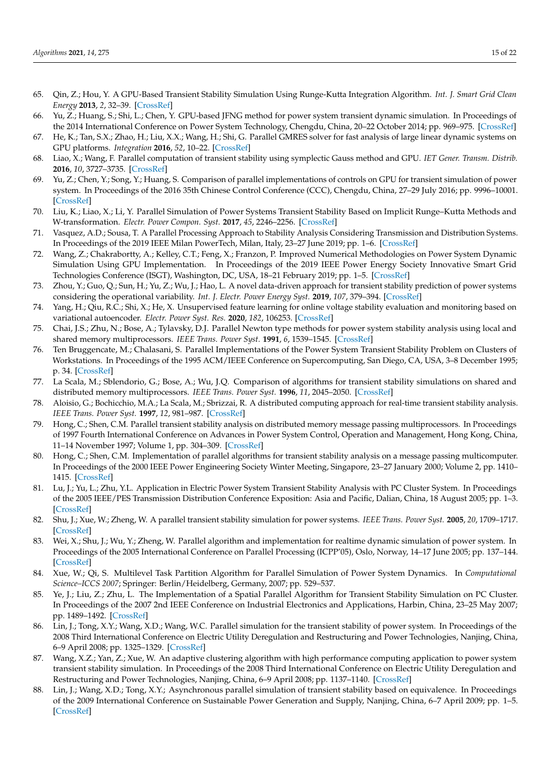- 65. Qin, Z.; Hou, Y. A GPU-Based Transient Stability Simulation Using Runge-Kutta Integration Algorithm. *Int. J. Smart Grid Clean Energy* **2013**, *2*, 32–39. [\[CrossRef\]](http://dx.doi.org/10.12720/sgce.2.1.32-39)
- 66. Yu, Z.; Huang, S.; Shi, L.; Chen, Y. GPU-based JFNG method for power system transient dynamic simulation. In Proceedings of the 2014 International Conference on Power System Technology, Chengdu, China, 20–22 October 2014; pp. 969–975. [\[CrossRef\]](http://dx.doi.org/10.1109/POWERCON.2014.6993929)
- 67. He, K.; Tan, S.X.; Zhao, H.; Liu, X.X.; Wang, H.; Shi, G. Parallel GMRES solver for fast analysis of large linear dynamic systems on GPU platforms. *Integration* **2016**, *52*, 10–22. [\[CrossRef\]](http://dx.doi.org/10.1016/j.vlsi.2015.07.005)
- 68. Liao, X.; Wang, F. Parallel computation of transient stability using symplectic Gauss method and GPU. *IET Gener. Transm. Distrib.* **2016**, *10*, 3727–3735. [\[CrossRef\]](http://dx.doi.org/10.1049/iet-gtd.2016.0033)
- 69. Yu, Z.; Chen, Y.; Song, Y.; Huang, S. Comparison of parallel implementations of controls on GPU for transient simulation of power system. In Proceedings of the 2016 35th Chinese Control Conference (CCC), Chengdu, China, 27–29 July 2016; pp. 9996–10001. [\[CrossRef\]](http://dx.doi.org/10.1109/ChiCC.2016.7554936)
- 70. Liu, K.; Liao, X.; Li, Y. Parallel Simulation of Power Systems Transient Stability Based on Implicit Runge–Kutta Methods and W-transformation. *Electr. Power Compon. Syst.* **2017**, *45*, 2246–2256. [\[CrossRef\]](http://dx.doi.org/10.1080/15325008.2017.1400606)
- 71. Vasquez, A.D.; Sousa, T. A Parallel Processing Approach to Stability Analysis Considering Transmission and Distribution Systems. In Proceedings of the 2019 IEEE Milan PowerTech, Milan, Italy, 23–27 June 2019; pp. 1–6. [\[CrossRef\]](http://dx.doi.org/10.1109/PTC.2019.8810901)
- 72. Wang, Z.; Chakrabortty, A.; Kelley, C.T.; Feng, X.; Franzon, P. Improved Numerical Methodologies on Power System Dynamic Simulation Using GPU Implementation. In Proceedings of the 2019 IEEE Power Energy Society Innovative Smart Grid Technologies Conference (ISGT), Washington, DC, USA, 18–21 February 2019; pp. 1–5. [\[CrossRef\]](http://dx.doi.org/10.1109/ISGT.2019.8791667)
- 73. Zhou, Y.; Guo, Q.; Sun, H.; Yu, Z.; Wu, J.; Hao, L. A novel data-driven approach for transient stability prediction of power systems considering the operational variability. *Int. J. Electr. Power Energy Syst.* **2019**, *107*, 379–394. [\[CrossRef\]](http://dx.doi.org/10.1016/j.ijepes.2018.11.031)
- <span id="page-14-0"></span>74. Yang, H.; Qiu, R.C.; Shi, X.; He, X. Unsupervised feature learning for online voltage stability evaluation and monitoring based on variational autoencoder. *Electr. Power Syst. Res.* **2020**, *182*, 106253. [\[CrossRef\]](http://dx.doi.org/10.1016/j.epsr.2020.106253)
- <span id="page-14-1"></span>75. Chai, J.S.; Zhu, N.; Bose, A.; Tylavsky, D.J. Parallel Newton type methods for power system stability analysis using local and shared memory multiprocessors. *IEEE Trans. Power Syst.* **1991**, *6*, 1539–1545. [\[CrossRef\]](http://dx.doi.org/10.1109/59.117001)
- 76. Ten Bruggencate, M.; Chalasani, S. Parallel Implementations of the Power System Transient Stability Problem on Clusters of Workstations. In Proceedings of the 1995 ACM/IEEE Conference on Supercomputing, San Diego, CA, USA, 3–8 December 1995; p. 34. [\[CrossRef\]](http://dx.doi.org/10.1109/SUPERC.1995.242934)
- 77. La Scala, M.; Sblendorio, G.; Bose, A.; Wu, J.Q. Comparison of algorithms for transient stability simulations on shared and distributed memory multiprocessors. *IEEE Trans. Power Syst.* **1996**, *11*, 2045–2050. [\[CrossRef\]](http://dx.doi.org/10.1109/59.544683)
- 78. Aloisio, G.; Bochicchio, M.A.; La Scala, M.; Sbrizzai, R. A distributed computing approach for real-time transient stability analysis. *IEEE Trans. Power Syst.* **1997**, *12*, 981–987. [\[CrossRef\]](http://dx.doi.org/10.1109/59.589801)
- 79. Hong, C.; Shen, C.M. Parallel transient stability analysis on distributed memory message passing multiprocessors. In Proceedings of 1997 Fourth International Conference on Advances in Power System Control, Operation and Management, Hong Kong, China, 11–14 November 1997; Volume 1, pp. 304–309. [\[CrossRef\]](http://dx.doi.org/10.1049/cp:19971849)
- 80. Hong, C.; Shen, C.M. Implementation of parallel algorithms for transient stability analysis on a message passing multicomputer. In Proceedings of the 2000 IEEE Power Engineering Society Winter Meeting, Singapore, 23–27 January 2000; Volume 2, pp. 1410– 1415. [\[CrossRef\]](http://dx.doi.org/10.1109/PESW.2000.850175)
- 81. Lu, J.; Yu, L.; Zhu, Y.L. Application in Electric Power System Transient Stability Analysis with PC Cluster System. In Proceedings of the 2005 IEEE/PES Transmission Distribution Conference Exposition: Asia and Pacific, Dalian, China, 18 August 2005; pp. 1–3. [\[CrossRef\]](http://dx.doi.org/10.1109/TDC.2005.1546995)
- <span id="page-14-2"></span>82. Shu, J.; Xue, W.; Zheng, W. A parallel transient stability simulation for power systems. *IEEE Trans. Power Syst.* **2005**, *20*, 1709–1717. [\[CrossRef\]](http://dx.doi.org/10.1109/TPWRS.2005.857266)
- 83. Wei, X.; Shu, J.; Wu, Y.; Zheng, W. Parallel algorithm and implementation for realtime dynamic simulation of power system. In Proceedings of the 2005 International Conference on Parallel Processing (ICPP'05), Oslo, Norway, 14–17 June 2005; pp. 137–144. [\[CrossRef\]](http://dx.doi.org/10.1109/ICPP.2005.58)
- 84. Xue, W.; Qi, S. Multilevel Task Partition Algorithm for Parallel Simulation of Power System Dynamics. In *Computational Science–ICCS 2007*; Springer: Berlin/Heidelberg, Germany, 2007; pp. 529–537.
- 85. Ye, J.; Liu, Z.; Zhu, L. The Implementation of a Spatial Parallel Algorithm for Transient Stability Simulation on PC Cluster. In Proceedings of the 2007 2nd IEEE Conference on Industrial Electronics and Applications, Harbin, China, 23–25 May 2007; pp. 1489–1492. [\[CrossRef\]](http://dx.doi.org/10.1109/ICIEA.2007.4318654)
- 86. Lin, J.; Tong, X.Y.; Wang, X.D.; Wang, W.C. Parallel simulation for the transient stability of power system. In Proceedings of the 2008 Third International Conference on Electric Utility Deregulation and Restructuring and Power Technologies, Nanjing, China, 6–9 April 2008; pp. 1325–1329. [\[CrossRef\]](http://dx.doi.org/10.1109/DRPT.2008.4523611)
- 87. Wang, X.Z.; Yan, Z.; Xue, W. An adaptive clustering algorithm with high performance computing application to power system transient stability simulation. In Proceedings of the 2008 Third International Conference on Electric Utility Deregulation and Restructuring and Power Technologies, Nanjing, China, 6–9 April 2008; pp. 1137–1140. [\[CrossRef\]](http://dx.doi.org/10.1109/DRPT.2008.4523578)
- 88. Lin, J.; Wang, X.D.; Tong, X.Y.; Asynchronous parallel simulation of transient stability based on equivalence. In Proceedings of the 2009 International Conference on Sustainable Power Generation and Supply, Nanjing, China, 6–7 April 2009; pp. 1–5. [\[CrossRef\]](http://dx.doi.org/10.1109/SUPERGEN.2009.5348281)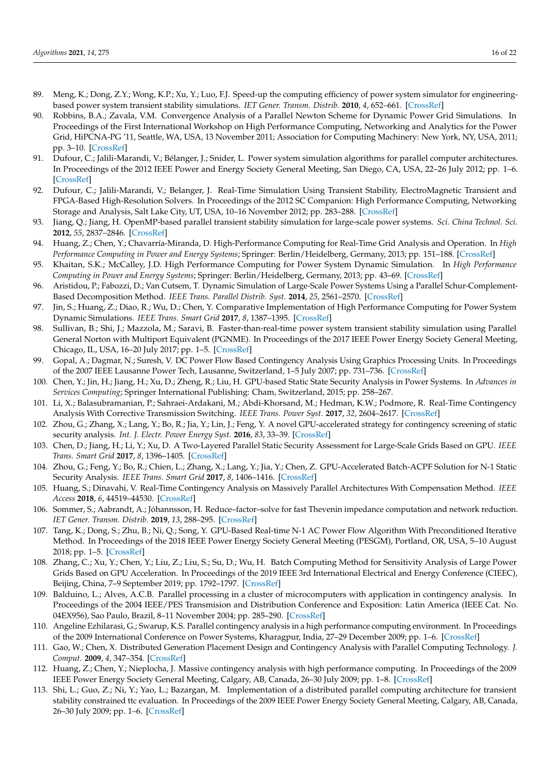- 89. Meng, K.; Dong, Z.Y.; Wong, K.P.; Xu, Y.; Luo, F.J. Speed-up the computing efficiency of power system simulator for engineeringbased power system transient stability simulations. *IET Gener. Transm. Distrib.* **2010**, *4*, 652–661. [\[CrossRef\]](http://dx.doi.org/10.1049/iet-gtd.2009.0701)
- 90. Robbins, B.A.; Zavala, V.M. Convergence Analysis of a Parallel Newton Scheme for Dynamic Power Grid Simulations. In Proceedings of the First International Workshop on High Performance Computing, Networking and Analytics for the Power Grid, HiPCNA-PG '11, Seattle, WA, USA, 13 November 2011; Association for Computing Machinery: New York, NY, USA, 2011; pp. 3–10. [\[CrossRef\]](http://dx.doi.org/10.1145/2096123.2096127)
- <span id="page-15-5"></span>91. Dufour, C.; Jalili-Marandi, V.; Bélanger, J.; Snider, L. Power system simulation algorithms for parallel computer architectures. In Proceedings of the 2012 IEEE Power and Energy Society General Meeting, San Diego, CA, USA, 22–26 July 2012; pp. 1–6. [\[CrossRef\]](http://dx.doi.org/10.1109/PESGM.2012.6344986)
- <span id="page-15-6"></span>92. Dufour, C.; Jalili-Marandi, V.; Belanger, J. Real-Time Simulation Using Transient Stability, ElectroMagnetic Transient and FPGA-Based High-Resolution Solvers. In Proceedings of the 2012 SC Companion: High Performance Computing, Networking Storage and Analysis, Salt Lake City, UT, USA, 10–16 November 2012; pp. 283–288. [\[CrossRef\]](http://dx.doi.org/10.1109/SC.Companion.2012.46)
- 93. Jiang, Q.; Jiang, H. OpenMP-based parallel transient stability simulation for large-scale power systems. *Sci. China Technol. Sci.* **2012**, *55*, 2837–2846. [\[CrossRef\]](http://dx.doi.org/10.1007/s11431-012-4993-4)
- <span id="page-15-3"></span>94. Huang, Z.; Chen, Y.; Chavarría-Miranda, D. High-Performance Computing for Real-Time Grid Analysis and Operation. In *High Performance Computing in Power and Energy Systems*; Springer: Berlin/Heidelberg, Germany, 2013; pp. 151–188. [\[CrossRef\]](http://dx.doi.org/10.1007/978-3-642-32683-7_5)
- 95. Khaitan, S.K.; McCalley, J.D. High Performance Computing for Power System Dynamic Simulation. In *High Performance Computing in Power and Energy Systems*; Springer: Berlin/Heidelberg, Germany, 2013; pp. 43–69. [\[CrossRef\]](http://dx.doi.org/10.1007/978-3-642-32683-7_2)
- <span id="page-15-8"></span>96. Aristidou, P.; Fabozzi, D.; Van Cutsem, T. Dynamic Simulation of Large-Scale Power Systems Using a Parallel Schur-Complement-Based Decomposition Method. *IEEE Trans. Parallel Distrib. Syst.* **2014**, *25*, 2561–2570. [\[CrossRef\]](http://dx.doi.org/10.1109/TPDS.2013.252)
- 97. Jin, S.; Huang, Z.; Diao, R.; Wu, D.; Chen, Y. Comparative Implementation of High Performance Computing for Power System Dynamic Simulations. *IEEE Trans. Smart Grid* **2017**, *8*, 1387–1395. [\[CrossRef\]](http://dx.doi.org/10.1109/TSG.2016.2647220)
- <span id="page-15-0"></span>98. Sullivan, B.; Shi, J.; Mazzola, M.; Saravi, B. Faster-than-real-time power system transient stability simulation using Parallel General Norton with Multiport Equivalent (PGNME). In Proceedings of the 2017 IEEE Power Energy Society General Meeting, Chicago, IL, USA, 16–20 July 2017; pp. 1–5. [\[CrossRef\]](http://dx.doi.org/10.1109/PESGM.2017.8274433)
- <span id="page-15-1"></span>99. Gopal, A.; Dagmar, N.; Suresh, V. DC Power Flow Based Contingency Analysis Using Graphics Processing Units. In Proceedings of the 2007 IEEE Lausanne Power Tech, Lausanne, Switzerland, 1–5 July 2007; pp. 731–736. [\[CrossRef\]](http://dx.doi.org/10.1109/PCT.2007.4538406)
- 100. Chen, Y.; Jin, H.; Jiang, H.; Xu, D.; Zheng, R.; Liu, H. GPU-based Static State Security Analysis in Power Systems. In *Advances in Services Computing*; Springer International Publishing: Cham, Switzerland, 2015; pp. 258–267.
- 101. Li, X.; Balasubramanian, P.; Sahraei-Ardakani, M.; Abdi-Khorsand, M.; Hedman, K.W.; Podmore, R. Real-Time Contingency Analysis With Corrective Transmission Switching. *IEEE Trans. Power Syst.* **2017**, *32*, 2604–2617. [\[CrossRef\]](http://dx.doi.org/10.1109/TPWRS.2016.2616903)
- <span id="page-15-7"></span>102. Zhou, G.; Zhang, X.; Lang, Y.; Bo, R.; Jia, Y.; Lin, J.; Feng, Y. A novel GPU-accelerated strategy for contingency screening of static security analysis. *Int. J. Electr. Power Energy Syst.* **2016**, *83*, 33–39. [\[CrossRef\]](http://dx.doi.org/10.1016/j.ijepes.2016.03.048)
- 103. Chen, D.; Jiang, H.; Li, Y.; Xu, D. A Two-Layered Parallel Static Security Assessment for Large-Scale Grids Based on GPU. *IEEE Trans. Smart Grid* **2017**, *8*, 1396–1405. [\[CrossRef\]](http://dx.doi.org/10.1109/TSG.2016.2600256)
- 104. Zhou, G.; Feng, Y.; Bo, R.; Chien, L.; Zhang, X.; Lang, Y.; Jia, Y.; Chen, Z. GPU-Accelerated Batch-ACPF Solution for N-1 Static Security Analysis. *IEEE Trans. Smart Grid* **2017**, *8*, 1406–1416. [\[CrossRef\]](http://dx.doi.org/10.1109/TSG.2016.2600587)
- 105. Huang, S.; Dinavahi, V. Real-Time Contingency Analysis on Massively Parallel Architectures With Compensation Method. *IEEE Access* **2018**, *6*, 44519–44530. [\[CrossRef\]](http://dx.doi.org/10.1109/ACCESS.2018.2864757)
- 106. Sommer, S.; Aabrandt, A.; Jóhannsson, H. Reduce–factor–solve for fast Thevenin impedance computation and network reduction. *IET Gener. Transm. Distrib.* **2019**, *13*, 288–295. [\[CrossRef\]](http://dx.doi.org/10.1049/iet-gtd.2018.5330)
- 107. Tang, K.; Dong, S.; Zhu, B.; Ni, Q.; Song, Y. GPU-Based Real-time N-1 AC Power Flow Algorithm With Preconditioned Iterative Method. In Proceedings of the 2018 IEEE Power Energy Society General Meeting (PESGM), Portland, OR, USA, 5–10 August 2018; pp. 1–5. [\[CrossRef\]](http://dx.doi.org/10.1109/PESGM.2018.8586399)
- <span id="page-15-2"></span>108. Zhang, C.; Xu, Y.; Chen, Y.; Liu, Z.; Liu, S.; Su, D.; Wu, H. Batch Computing Method for Sensitivity Analysis of Large Power Grids Based on GPU Acceleration. In Proceedings of the 2019 IEEE 3rd International Electrical and Energy Conference (CIEEC), Beijing, China, 7–9 September 2019; pp. 1792–1797. [\[CrossRef\]](http://dx.doi.org/10.1109/CIEEC47146.2019.CIEEC-2019620)
- <span id="page-15-4"></span>109. Balduino, L.; Alves, A.C.B. Parallel processing in a cluster of microcomputers with application in contingency analysis. In Proceedings of the 2004 IEEE/PES Transmision and Distribution Conference and Exposition: Latin America (IEEE Cat. No. 04EX956), Sao Paulo, Brazil, 8–11 November 2004; pp. 285–290. [\[CrossRef\]](http://dx.doi.org/10.1109/TDC.2004.1432393)
- 110. Angeline Ezhilarasi, G.; Swarup, K.S. Parallel contingency analysis in a high performance computing environment. In Proceedings of the 2009 International Conference on Power Systems, Kharagpur, India, 27–29 December 2009; pp. 1–6. [\[CrossRef\]](http://dx.doi.org/10.1109/ICPWS.2009.5442650)
- 111. Gao, W.; Chen, X. Distributed Generation Placement Design and Contingency Analysis with Parallel Computing Technology. *J. Comput.* **2009**, *4*, 347–354. [\[CrossRef\]](http://dx.doi.org/10.4304/jcp.4.4.347-354)
- 112. Huang, Z.; Chen, Y.; Nieplocha, J. Massive contingency analysis with high performance computing. In Proceedings of the 2009 IEEE Power Energy Society General Meeting, Calgary, AB, Canada, 26–30 July 2009; pp. 1–8. [\[CrossRef\]](http://dx.doi.org/10.1109/PES.2009.5275421)
- 113. Shi, L.; Guo, Z.; Ni, Y.; Yao, L.; Bazargan, M. Implementation of a distributed parallel computing architecture for transient stability constrained ttc evaluation. In Proceedings of the 2009 IEEE Power Energy Society General Meeting, Calgary, AB, Canada, 26–30 July 2009; pp. 1–6. [\[CrossRef\]](http://dx.doi.org/10.1109/PES.2009.5276025)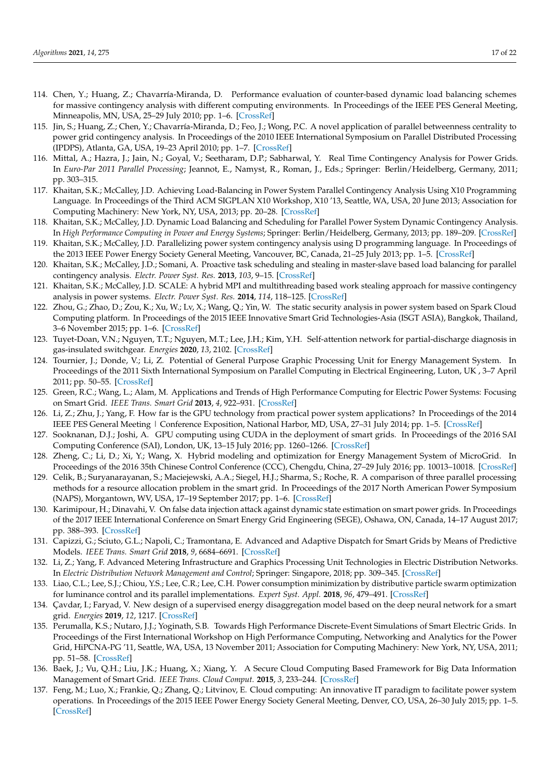- 114. Chen, Y.; Huang, Z.; Chavarría-Miranda, D. Performance evaluation of counter-based dynamic load balancing schemes for massive contingency analysis with different computing environments. In Proceedings of the IEEE PES General Meeting, Minneapolis, MN, USA, 25–29 July 2010; pp. 1–6. [\[CrossRef\]](http://dx.doi.org/10.1109/PES.2010.5589536)
- 115. Jin, S.; Huang, Z.; Chen, Y.; Chavarría-Miranda, D.; Feo, J.; Wong, P.C. A novel application of parallel betweenness centrality to power grid contingency analysis. In Proceedings of the 2010 IEEE International Symposium on Parallel Distributed Processing (IPDPS), Atlanta, GA, USA, 19–23 April 2010; pp. 1–7. [\[CrossRef\]](http://dx.doi.org/10.1109/IPDPS.2010.5470400)
- 116. Mittal, A.; Hazra, J.; Jain, N.; Goyal, V.; Seetharam, D.P.; Sabharwal, Y. Real Time Contingency Analysis for Power Grids. In *Euro-Par 2011 Parallel Processing*; Jeannot, E., Namyst, R., Roman, J., Eds.; Springer: Berlin/Heidelberg, Germany, 2011; pp. 303–315.
- <span id="page-16-6"></span>117. Khaitan, S.K.; McCalley, J.D. Achieving Load-Balancing in Power System Parallel Contingency Analysis Using X10 Programming Language. In Proceedings of the Third ACM SIGPLAN X10 Workshop, X10 '13, Seattle, WA, USA, 20 June 2013; Association for Computing Machinery: New York, NY, USA, 2013; pp. 20–28. [\[CrossRef\]](http://dx.doi.org/10.1145/2481268.2481275)
- 118. Khaitan, S.K.; McCalley, J.D. Dynamic Load Balancing and Scheduling for Parallel Power System Dynamic Contingency Analysis. In *High Performance Computing in Power and Energy Systems*; Springer: Berlin/Heidelberg, Germany, 2013; pp. 189–209. [\[CrossRef\]](http://dx.doi.org/10.1007/978-3-642-32683-7_6)
- 119. Khaitan, S.K.; McCalley, J.D. Parallelizing power system contingency analysis using D programming language. In Proceedings of the 2013 IEEE Power Energy Society General Meeting, Vancouver, BC, Canada, 21–25 July 2013; pp. 1–5. [\[CrossRef\]](http://dx.doi.org/10.1109/PESMG.2013.6672115)
- 120. Khaitan, S.K.; McCalley, J.D.; Somani, A. Proactive task scheduling and stealing in master-slave based load balancing for parallel contingency analysis. *Electr. Power Syst. Res.* **2013**, *103*, 9–15. [\[CrossRef\]](http://dx.doi.org/10.1016/j.epsr.2013.04.005)
- <span id="page-16-7"></span>121. Khaitan, S.K.; McCalley, J.D. SCALE: A hybrid MPI and multithreading based work stealing approach for massive contingency analysis in power systems. *Electr. Power Syst. Res.* **2014**, *114*, 118–125. [\[CrossRef\]](http://dx.doi.org/10.1016/j.epsr.2014.04.017)
- 122. Zhou, G.; Zhao, D.; Zou, K.; Xu, W.; Lv, X.; Wang, Q.; Yin, W. The static security analysis in power system based on Spark Cloud Computing platform. In Proceedings of the 2015 IEEE Innovative Smart Grid Technologies-Asia (ISGT ASIA), Bangkok, Thailand, 3–6 November 2015; pp. 1–6. [\[CrossRef\]](http://dx.doi.org/10.1109/ISGT-Asia.2015.7387102)
- <span id="page-16-0"></span>123. Tuyet-Doan, V.N.; Nguyen, T.T.; Nguyen, M.T.; Lee, J.H.; Kim, Y.H. Self-attention network for partial-discharge diagnosis in gas-insulated switchgear. *Energies* **2020**, *13*, 2102. [\[CrossRef\]](http://dx.doi.org/10.3390/en13082102)
- <span id="page-16-1"></span>124. Tournier, J.; Donde, V.; Li, Z. Potential of General Purpose Graphic Processing Unit for Energy Management System. In Proceedings of the 2011 Sixth International Symposium on Parallel Computing in Electrical Engineering, Luton, UK , 3–7 April 2011; pp. 50–55. [\[CrossRef\]](http://dx.doi.org/10.1109/PARELEC.2011.37)
- <span id="page-16-4"></span>125. Green, R.C.; Wang, L.; Alam, M. Applications and Trends of High Performance Computing for Electric Power Systems: Focusing on Smart Grid. *IEEE Trans. Smart Grid* **2013**, *4*, 922–931. [\[CrossRef\]](http://dx.doi.org/10.1109/TSG.2012.2225646)
- 126. Li, Z.; Zhu, J.; Yang, F. How far is the GPU technology from practical power system applications? In Proceedings of the 2014 IEEE PES General Meeting | Conference Exposition, National Harbor, MD, USA, 27–31 July 2014; pp. 1–5. [\[CrossRef\]](http://dx.doi.org/10.1109/PESGM.2014.6939132)
- 127. Sooknanan, D.J.; Joshi, A. GPU computing using CUDA in the deployment of smart grids. In Proceedings of the 2016 SAI Computing Conference (SAI), London, UK, 13–15 July 2016; pp. 1260–1266. [\[CrossRef\]](http://dx.doi.org/10.1109/SAI.2016.7556141)
- 128. Zheng, C.; Li, D.; Xi, Y.; Wang, X. Hybrid modeling and optimization for Energy Management System of MicroGrid. In Proceedings of the 2016 35th Chinese Control Conference (CCC), Chengdu, China, 27–29 July 2016; pp. 10013–10018. [\[CrossRef\]](http://dx.doi.org/10.1109/ChiCC.2016.7554939)
- 129. Celik, B.; Suryanarayanan, S.; Maciejewski, A.A.; Siegel, H.J.; Sharma, S.; Roche, R. A comparison of three parallel processing methods for a resource allocation problem in the smart grid. In Proceedings of the 2017 North American Power Symposium (NAPS), Morgantown, WV, USA, 17–19 September 2017; pp. 1–6. [\[CrossRef\]](http://dx.doi.org/10.1109/NAPS.2017.8107204)
- 130. Karimipour, H.; Dinavahi, V. On false data injection attack against dynamic state estimation on smart power grids. In Proceedings of the 2017 IEEE International Conference on Smart Energy Grid Engineering (SEGE), Oshawa, ON, Canada, 14–17 August 2017; pp. 388–393. [\[CrossRef\]](http://dx.doi.org/10.1109/SEGE.2017.8052831)
- <span id="page-16-5"></span>131. Capizzi, G.; Sciuto, G.L.; Napoli, C.; Tramontana, E. Advanced and Adaptive Dispatch for Smart Grids by Means of Predictive Models. *IEEE Trans. Smart Grid* **2018**, *9*, 6684–6691. [\[CrossRef\]](http://dx.doi.org/10.1109/TSG.2017.2718241)
- 132. Li, Z.; Yang, F. Advanced Metering Infrastructure and Graphics Processing Unit Technologies in Electric Distribution Networks. In *Electric Distribution Network Management and Control*; Springer: Singapore, 2018; pp. 309–345. [\[CrossRef\]](http://dx.doi.org/10.1007/978-981-10-7001-3_12)
- 133. Liao, C.L.; Lee, S.J.; Chiou, Y.S.; Lee, C.R.; Lee, C.H. Power consumption minimization by distributive particle swarm optimization for luminance control and its parallel implementations. *Expert Syst. Appl.* **2018**, *96*, 479–491. [\[CrossRef\]](http://dx.doi.org/10.1016/j.eswa.2017.11.002)
- <span id="page-16-2"></span>134. Çavdar, I.; Faryad, V. New design of a supervised energy disaggregation model based on the deep neural network for a smart grid. *Energies* **2019**, *12*, 1217. [\[CrossRef\]](http://dx.doi.org/10.3390/en12071217)
- <span id="page-16-3"></span>135. Perumalla, K.S.; Nutaro, J.J.; Yoginath, S.B. Towards High Performance Discrete-Event Simulations of Smart Electric Grids. In Proceedings of the First International Workshop on High Performance Computing, Networking and Analytics for the Power Grid, HiPCNA-PG '11, Seattle, WA, USA, 13 November 2011; Association for Computing Machinery: New York, NY, USA, 2011; pp. 51–58. [\[CrossRef\]](http://dx.doi.org/10.1145/2096123.2096135)
- <span id="page-16-8"></span>136. Baek, J.; Vu, Q.H.; Liu, J.K.; Huang, X.; Xiang, Y. A Secure Cloud Computing Based Framework for Big Data Information Management of Smart Grid. *IEEE Trans. Cloud Comput.* **2015**, *3*, 233–244. [\[CrossRef\]](http://dx.doi.org/10.1109/TCC.2014.2359460)
- 137. Feng, M.; Luo, X.; Frankie, Q.; Zhang, Q.; Litvinov, E. Cloud computing: An innovative IT paradigm to facilitate power system operations. In Proceedings of the 2015 IEEE Power Energy Society General Meeting, Denver, CO, USA, 26–30 July 2015; pp. 1–5. [\[CrossRef\]](http://dx.doi.org/10.1109/PESGM.2015.7286236)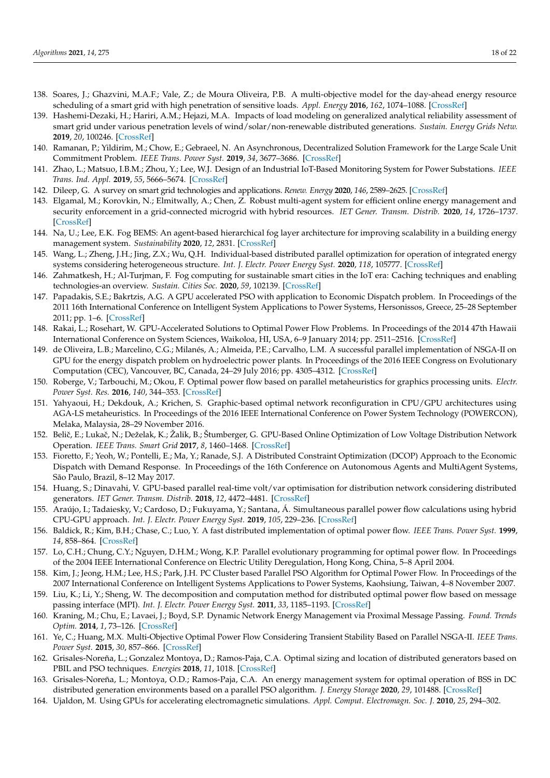- <span id="page-17-7"></span>138. Soares, J.; Ghazvini, M.A.F.; Vale, Z.; de Moura Oliveira, P.B. A multi-objective model for the day-ahead energy resource scheduling of a smart grid with high penetration of sensitive loads. *Appl. Energy* **2016**, *162*, 1074–1088. [\[CrossRef\]](http://dx.doi.org/10.1016/j.apenergy.2015.10.181)
- 139. Hashemi-Dezaki, H.; Hariri, A.M.; Hejazi, M.A. Impacts of load modeling on generalized analytical reliability assessment of smart grid under various penetration levels of wind/solar/non-renewable distributed generations. *Sustain. Energy Grids Netw.* **2019**, *20*, 100246. [\[CrossRef\]](http://dx.doi.org/10.1016/j.segan.2019.100246)
- 140. Ramanan, P.; Yildirim, M.; Chow, E.; Gebraeel, N. An Asynchronous, Decentralized Solution Framework for the Large Scale Unit Commitment Problem. *IEEE Trans. Power Syst.* **2019**, *34*, 3677–3686. [\[CrossRef\]](http://dx.doi.org/10.1109/TPWRS.2019.2909664)
- 141. Zhao, L.; Matsuo, I.B.M.; Zhou, Y.; Lee, W.J. Design of an Industrial IoT-Based Monitoring System for Power Substations. *IEEE Trans. Ind. Appl.* **2019**, *55*, 5666–5674. [\[CrossRef\]](http://dx.doi.org/10.1109/TIA.2019.2940668)
- 142. Dileep, G. A survey on smart grid technologies and applications. *Renew. Energy* **2020**, *146*, 2589–2625. [\[CrossRef\]](http://dx.doi.org/10.1016/j.renene.2019.08.092)
- 143. Elgamal, M.; Korovkin, N.; Elmitwally, A.; Chen, Z. Robust multi-agent system for efficient online energy management and security enforcement in a grid-connected microgrid with hybrid resources. *IET Gener. Transm. Distrib.* **2020**, *14*, 1726–1737. [\[CrossRef\]](http://dx.doi.org/10.1049/iet-gtd.2019.1284)
- 144. Na, U.; Lee, E.K. Fog BEMS: An agent-based hierarchical fog layer architecture for improving scalability in a building energy management system. *Sustainability* **2020**, *12*, 2831. [\[CrossRef\]](http://dx.doi.org/10.3390/su12072831)
- 145. Wang, L.; Zheng, J.H.; Jing, Z.X.; Wu, Q.H. Individual-based distributed parallel optimization for operation of integrated energy systems considering heterogeneous structure. *Int. J. Electr. Power Energy Syst.* **2020**, *118*, 105777. [\[CrossRef\]](http://dx.doi.org/10.1016/j.ijepes.2019.105777)
- <span id="page-17-0"></span>146. Zahmatkesh, H.; Al-Turjman, F. Fog computing for sustainable smart cities in the IoT era: Caching techniques and enabling technologies-an overview. *Sustain. Cities Soc.* **2020**, *59*, 102139. [\[CrossRef\]](http://dx.doi.org/10.1016/j.scs.2020.102139)
- <span id="page-17-1"></span>147. Papadakis, S.E.; Bakrtzis, A.G. A GPU accelerated PSO with application to Economic Dispatch problem. In Proceedings of the 2011 16th International Conference on Intelligent System Applications to Power Systems, Hersonissos, Greece, 25–28 September 2011; pp. 1–6. [\[CrossRef\]](http://dx.doi.org/10.1109/ISAP.2011.6082162)
- 148. Rakai, L.; Rosehart, W. GPU-Accelerated Solutions to Optimal Power Flow Problems. In Proceedings of the 2014 47th Hawaii International Conference on System Sciences, Waikoloa, HI, USA, 6–9 January 2014; pp. 2511–2516. [\[CrossRef\]](http://dx.doi.org/10.1109/HICSS.2014.315)
- 149. de Oliveira, L.B.; Marcelino, C.G.; Milanés, A.; Almeida, P.E.; Carvalho, L.M. A successful parallel implementation of NSGA-II on GPU for the energy dispatch problem on hydroelectric power plants. In Proceedings of the 2016 IEEE Congress on Evolutionary Computation (CEC), Vancouver, BC, Canada, 24–29 July 2016; pp. 4305–4312. [\[CrossRef\]](http://dx.doi.org/10.1109/CEC.2016.7744337)
- <span id="page-17-6"></span>150. Roberge, V.; Tarbouchi, M.; Okou, F. Optimal power flow based on parallel metaheuristics for graphics processing units. *Electr. Power Syst. Res.* **2016**, *140*, 344–353. [\[CrossRef\]](http://dx.doi.org/10.1016/j.epsr.2016.06.006)
- 151. Yahyaoui, H.; Dekdouk, A.; Krichen, S. Graphic-based optimal network reconfiguration in CPU/GPU architectures using AGA-LS metaheuristics. In Proceedings of the 2016 IEEE International Conference on Power System Technology (POWERCON), Melaka, Malaysia, 28–29 November 2016.
- 152. Beliˇc, E.; Lukaˇc, N.; Deželak, K.; Žalik, B.; Štumberger, G. GPU-Based Online Optimization of Low Voltage Distribution Network Operation. *IEEE Trans. Smart Grid* **2017**, *8*, 1460–1468. [\[CrossRef\]](http://dx.doi.org/10.1109/TSG.2017.2672784)
- 153. Fioretto, F.; Yeoh, W.; Pontelli, E.; Ma, Y.; Ranade, S.J. A Distributed Constraint Optimization (DCOP) Approach to the Economic Dispatch with Demand Response. In Proceedings of the 16th Conference on Autonomous Agents and MultiAgent Systems, São Paulo, Brazil, 8–12 May 2017.
- 154. Huang, S.; Dinavahi, V. GPU-based parallel real-time volt/var optimisation for distribution network considering distributed generators. *IET Gener. Transm. Distrib.* **2018**, *12*, 4472–4481. [\[CrossRef\]](http://dx.doi.org/10.1049/iet-gtd.2017.1887)
- <span id="page-17-2"></span>155. Araújo, I.; Tadaiesky, V.; Cardoso, D.; Fukuyama, Y.; Santana, Á. Simultaneous parallel power flow calculations using hybrid CPU-GPU approach. *Int. J. Electr. Power Energy Syst.* **2019**, *105*, 229–236. [\[CrossRef\]](http://dx.doi.org/10.1016/j.ijepes.2018.08.033)
- <span id="page-17-3"></span>156. Baldick, R.; Kim, B.H.; Chase, C.; Luo, Y. A fast distributed implementation of optimal power flow. *IEEE Trans. Power Syst.* **1999**, *14*, 858–864. [\[CrossRef\]](http://dx.doi.org/10.1109/59.780896)
- 157. Lo, C.H.; Chung, C.Y.; Nguyen, D.H.M.; Wong, K.P. Parallel evolutionary programming for optimal power flow. In Proceedings of the 2004 IEEE International Conference on Electric Utility Deregulation, Hong Kong, China, 5–8 April 2004.
- 158. Kim, J.; Jeong, H.M.; Lee, H.S.; Park, J.H. PC Cluster based Parallel PSO Algorithm for Optimal Power Flow. In Proceedings of the 2007 International Conference on Intelligent Systems Applications to Power Systems, Kaohsiung, Taiwan, 4–8 November 2007.
- 159. Liu, K.; Li, Y.; Sheng, W. The decomposition and computation method for distributed optimal power flow based on message passing interface (MPI). *Int. J. Electr. Power Energy Syst.* **2011**, *33*, 1185–1193. [\[CrossRef\]](http://dx.doi.org/10.1016/j.ijepes.2011.01.032)
- 160. Kraning, M.; Chu, E.; Lavaei, J.; Boyd, S.P. Dynamic Network Energy Management via Proximal Message Passing. *Found. Trends Optim.* **2014**, *1*, 73–126. [\[CrossRef\]](http://dx.doi.org/10.1561/2400000002)
- 161. Ye, C.; Huang, M.X. Multi-Objective Optimal Power Flow Considering Transient Stability Based on Parallel NSGA-II. *IEEE Trans. Power Syst.* **2015**, *30*, 857–866. [\[CrossRef\]](http://dx.doi.org/10.1109/TPWRS.2014.2339352)
- 162. Grisales-Noreña, L.; Gonzalez Montoya, D.; Ramos-Paja, C.A. Optimal sizing and location of distributed generators based on PBIL and PSO techniques. *Energies* **2018**, *11*, 1018. [\[CrossRef\]](http://dx.doi.org/10.3390/en11041018)
- <span id="page-17-4"></span>163. Grisales-Noreña, L.; Montoya, O.D.; Ramos-Paja, C.A. An energy management system for optimal operation of BSS in DC distributed generation environments based on a parallel PSO algorithm. *J. Energy Storage* **2020**, *29*, 101488. [\[CrossRef\]](http://dx.doi.org/10.1016/j.est.2020.101488)
- <span id="page-17-5"></span>164. Ujaldon, M. Using GPUs for accelerating electromagnetic simulations. *Appl. Comput. Electromagn. Soc. J.* **2010**, *25*, 294–302.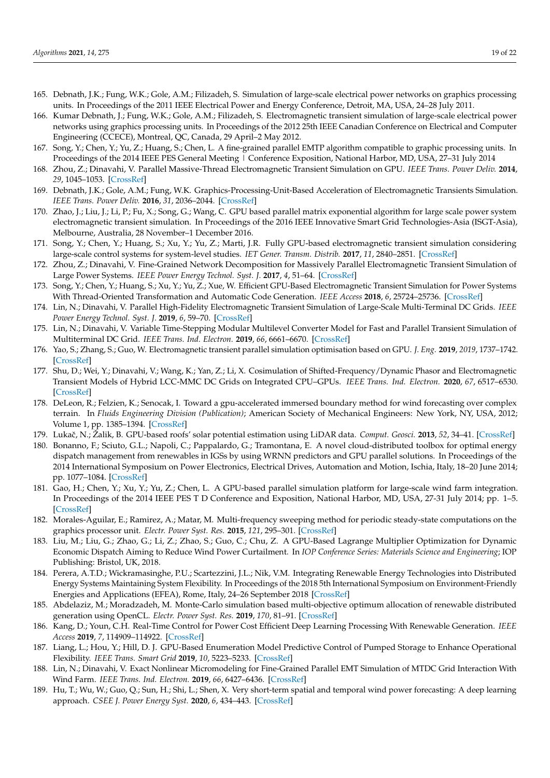- 165. Debnath, J.K.; Fung, W.K.; Gole, A.M.; Filizadeh, S. Simulation of large-scale electrical power networks on graphics processing units. In Proceedings of the 2011 IEEE Electrical Power and Energy Conference, Detroit, MA, USA, 24–28 July 2011.
- 166. Kumar Debnath, J.; Fung, W.K.; Gole, A.M.; Filizadeh, S. Electromagnetic transient simulation of large-scale electrical power networks using graphics processing units. In Proceedings of the 2012 25th IEEE Canadian Conference on Electrical and Computer Engineering (CCECE), Montreal, QC, Canada, 29 April–2 May 2012.
- 167. Song, Y.; Chen, Y.; Yu, Z.; Huang, S.; Chen, L. A fine-grained parallel EMTP algorithm compatible to graphic processing units. In Proceedings of the 2014 IEEE PES General Meeting | Conference Exposition, National Harbor, MD, USA, 27–31 July 2014
- <span id="page-18-2"></span>168. Zhou, Z.; Dinavahi, V. Parallel Massive-Thread Electromagnetic Transient Simulation on GPU. *IEEE Trans. Power Deliv.* **2014**, *29*, 1045–1053. [\[CrossRef\]](http://dx.doi.org/10.1109/TPWRD.2013.2297119)
- 169. Debnath, J.K.; Gole, A.M.; Fung, W.K. Graphics-Processing-Unit-Based Acceleration of Electromagnetic Transients Simulation. *IEEE Trans. Power Deliv.* **2016**, *31*, 2036–2044. [\[CrossRef\]](http://dx.doi.org/10.1109/TPWRD.2015.2492983)
- 170. Zhao, J.; Liu, J.; Li, P.; Fu, X.; Song, G.; Wang, C. GPU based parallel matrix exponential algorithm for large scale power system electromagnetic transient simulation. In Proceedings of the 2016 IEEE Innovative Smart Grid Technologies-Asia (ISGT-Asia), Melbourne, Australia, 28 November–1 December 2016.
- <span id="page-18-3"></span>171. Song, Y.; Chen, Y.; Huang, S.; Xu, Y.; Yu, Z.; Marti, J.R. Fully GPU-based electromagnetic transient simulation considering large-scale control systems for system-level studies. *IET Gener. Transm. Distrib.* **2017**, *11*, 2840–2851. [\[CrossRef\]](http://dx.doi.org/10.1049/iet-gtd.2016.2078)
- 172. Zhou, Z.; Dinavahi, V. Fine-Grained Network Decomposition for Massively Parallel Electromagnetic Transient Simulation of Large Power Systems. *IEEE Power Energy Technol. Syst. J.* **2017**, *4*, 51–64. [\[CrossRef\]](http://dx.doi.org/10.1109/JPETS.2017.2732360)
- 173. Song, Y.; Chen, Y.; Huang, S.; Xu, Y.; Yu, Z.; Xue, W. Efficient GPU-Based Electromagnetic Transient Simulation for Power Systems With Thread-Oriented Transformation and Automatic Code Generation. *IEEE Access* **2018**, *6*, 25724–25736. [\[CrossRef\]](http://dx.doi.org/10.1109/ACCESS.2018.2833506)
- 174. Lin, N.; Dinavahi, V. Parallel High-Fidelity Electromagnetic Transient Simulation of Large-Scale Multi-Terminal DC Grids. *IEEE Power Energy Technol. Syst. J.* **2019**, *6*, 59–70. [\[CrossRef\]](http://dx.doi.org/10.1109/JPETS.2018.2881483)
- 175. Lin, N.; Dinavahi, V. Variable Time-Stepping Modular Multilevel Converter Model for Fast and Parallel Transient Simulation of Multiterminal DC Grid. *IEEE Trans. Ind. Electron.* **2019**, *66*, 6661–6670. [\[CrossRef\]](http://dx.doi.org/10.1109/TIE.2018.2880671)
- 176. Yao, S.; Zhang, S.; Guo, W. Electromagnetic transient parallel simulation optimisation based on GPU. *J. Eng.* **2019**, *2019*, 1737–1742. [\[CrossRef\]](http://dx.doi.org/10.1049/joe.2018.8587)
- <span id="page-18-0"></span>177. Shu, D.; Wei, Y.; Dinavahi, V.; Wang, K.; Yan, Z.; Li, X. Cosimulation of Shifted-Frequency/Dynamic Phasor and Electromagnetic Transient Models of Hybrid LCC-MMC DC Grids on Integrated CPU–GPUs. *IEEE Trans. Ind. Electron.* **2020**, *67*, 6517–6530. [\[CrossRef\]](http://dx.doi.org/10.1109/TIE.2019.2937044)
- <span id="page-18-1"></span>178. DeLeon, R.; Felzien, K.; Senocak, I. Toward a gpu-accelerated immersed boundary method for wind forecasting over complex terrain. In *Fluids Engineering Division (Publication)*; American Society of Mechanical Engineers: New York, NY, USA, 2012; Volume 1, pp. 1385–1394. [\[CrossRef\]](http://dx.doi.org/10.1115/FEDSM2012-72145)
- <span id="page-18-4"></span>179. Lukaˇc, N.; Žalik, B. GPU-based roofs' solar potential estimation using LiDAR data. *Comput. Geosci.* **2013**, *52*, 34–41. [\[CrossRef\]](http://dx.doi.org/10.1016/j.cageo.2012.10.010)
- 180. Bonanno, F.; Sciuto, G.L.; Napoli, C.; Pappalardo, G.; Tramontana, E. A novel cloud-distributed toolbox for optimal energy dispatch management from renewables in IGSs by using WRNN predictors and GPU parallel solutions. In Proceedings of the 2014 International Symposium on Power Electronics, Electrical Drives, Automation and Motion, Ischia, Italy, 18–20 June 2014; pp. 1077–1084. [\[CrossRef\]](http://dx.doi.org/10.1109/SPEEDAM.2014.6872127)
- 181. Gao, H.; Chen, Y.; Xu, Y.; Yu, Z.; Chen, L. A GPU-based parallel simulation platform for large-scale wind farm integration. In Proceedings of the 2014 IEEE PES T D Conference and Exposition, National Harbor, MD, USA, 27-31 July 2014; pp. 1–5. [\[CrossRef\]](http://dx.doi.org/10.1109/TDC.2014.6863283)
- 182. Morales-Aguilar, E.; Ramirez, A.; Matar, M. Multi-frequency sweeping method for periodic steady-state computations on the graphics processor unit. *Electr. Power Syst. Res.* **2015**, *121*, 295–301. [\[CrossRef\]](http://dx.doi.org/10.1016/j.epsr.2014.11.009)
- 183. Liu, M.; Liu, G.; Zhao, G.; Li, Z.; Zhao, S.; Guo, C.; Chu, Z. A GPU-Based Lagrange Multiplier Optimization for Dynamic Economic Dispatch Aiming to Reduce Wind Power Curtailment. In *IOP Conference Series: Materials Science and Engineering*; IOP Publishing: Bristol, UK, 2018.
- 184. Perera, A.T.D.; Wickramasinghe, P.U.; Scartezzini, J.L.; Nik, V.M. Integrating Renewable Energy Technologies into Distributed Energy Systems Maintaining System Flexibility. In Proceedings of the 2018 5th International Symposium on Environment-Friendly Energies and Applications (EFEA), Rome, Italy, 24–26 September 2018 [\[CrossRef\]](http://dx.doi.org/10.1109/EFEA.2018.8617046)
- 185. Abdelaziz, M.; Moradzadeh, M. Monte-Carlo simulation based multi-objective optimum allocation of renewable distributed generation using OpenCL. *Electr. Power Syst. Res.* **2019**, *170*, 81–91. [\[CrossRef\]](http://dx.doi.org/10.1016/j.epsr.2019.01.012)
- 186. Kang, D.; Youn, C.H. Real-Time Control for Power Cost Efficient Deep Learning Processing With Renewable Generation. *IEEE Access* **2019**, *7*, 114909–114922. [\[CrossRef\]](http://dx.doi.org/10.1109/ACCESS.2019.2935389)
- 187. Liang, L.; Hou, Y.; Hill, D. J. GPU-Based Enumeration Model Predictive Control of Pumped Storage to Enhance Operational Flexibility. *IEEE Trans. Smart Grid* **2019**, *10*, 5223–5233. [\[CrossRef\]](http://dx.doi.org/10.1109/TSG.2018.2879226)
- 188. Lin, N.; Dinavahi, V. Exact Nonlinear Micromodeling for Fine-Grained Parallel EMT Simulation of MTDC Grid Interaction With Wind Farm. *IEEE Trans. Ind. Electron.* **2019**, *66*, 6427–6436. [\[CrossRef\]](http://dx.doi.org/10.1109/TIE.2018.2860566)
- 189. Hu, T.; Wu, W.; Guo, Q.; Sun, H.; Shi, L.; Shen, X. Very short-term spatial and temporal wind power forecasting: A deep learning approach. *CSEE J. Power Energy Syst.* **2020**, *6*, 434–443. [\[CrossRef\]](http://dx.doi.org/10.17775/CSEEJPES.2018.00010)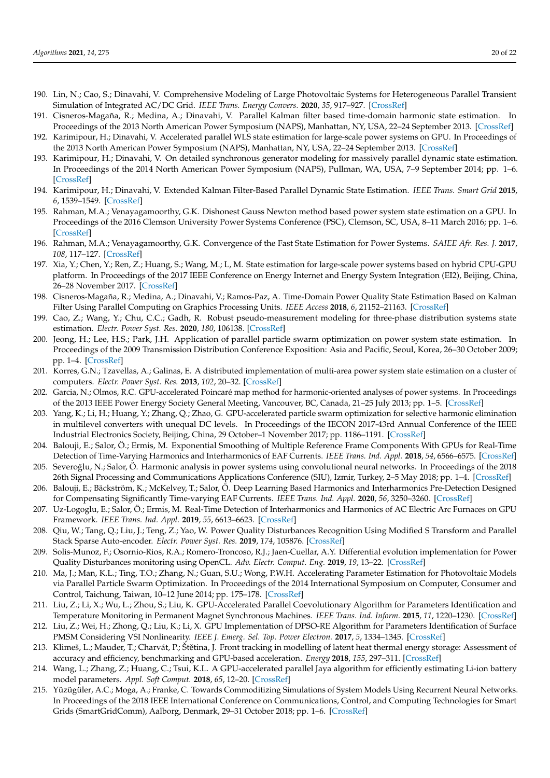- <span id="page-19-0"></span>190. Lin, N.; Cao, S.; Dinavahi, V. Comprehensive Modeling of Large Photovoltaic Systems for Heterogeneous Parallel Transient Simulation of Integrated AC/DC Grid. *IEEE Trans. Energy Convers.* **2020**, *35*, 917–927. [\[CrossRef\]](http://dx.doi.org/10.1109/TEC.2020.2966729)
- <span id="page-19-1"></span>191. Cisneros-Magaña, R.; Medina, A.; Dinavahi, V. Parallel Kalman filter based time-domain harmonic state estimation. In Proceedings of the 2013 North American Power Symposium (NAPS), Manhattan, NY, USA, 22–24 September 2013. [\[CrossRef\]](http://dx.doi.org/10.1109/NAPS.2013.6666831)
- 192. Karimipour, H.; Dinavahi, V. Accelerated parallel WLS state estimation for large-scale power systems on GPU. In Proceedings of the 2013 North American Power Symposium (NAPS), Manhattan, NY, USA, 22–24 September 2013. [\[CrossRef\]](http://dx.doi.org/10.1109/NAPS.2013.6666827)
- 193. Karimipour, H.; Dinavahi, V. On detailed synchronous generator modeling for massively parallel dynamic state estimation. In Proceedings of the 2014 North American Power Symposium (NAPS), Pullman, WA, USA, 7–9 September 2014; pp. 1–6. [\[CrossRef\]](http://dx.doi.org/10.1109/NAPS.2014.6965417)
- <span id="page-19-9"></span>194. Karimipour, H.; Dinavahi, V. Extended Kalman Filter-Based Parallel Dynamic State Estimation. *IEEE Trans. Smart Grid* **2015**, *6*, 1539–1549. [\[CrossRef\]](http://dx.doi.org/10.1109/TSG.2014.2387169)
- 195. Rahman, M.A.; Venayagamoorthy, G.K. Dishonest Gauss Newton method based power system state estimation on a GPU. In Proceedings of the 2016 Clemson University Power Systems Conference (PSC), Clemson, SC, USA, 8–11 March 2016; pp. 1–6. [\[CrossRef\]](http://dx.doi.org/10.1109/PSC.2016.7462826)
- 196. Rahman, M.A.; Venayagamoorthy, G.K. Convergence of the Fast State Estimation for Power Systems. *SAIEE Afr. Res. J.* **2017**, *108*, 117–127. [\[CrossRef\]](http://dx.doi.org/10.23919/SAIEE.2017.8531523)
- 197. Xia, Y.; Chen, Y.; Ren, Z.; Huang, S.; Wang, M.; L, M. State estimation for large-scale power systems based on hybrid CPU-GPU platform. In Proceedings of the 2017 IEEE Conference on Energy Internet and Energy System Integration (EI2), Beijing, China, 26–28 November 2017. [\[CrossRef\]](http://dx.doi.org/10.1109/EI2.2017.8245566)
- 198. Cisneros-Magaña, R.; Medina, A.; Dinavahi, V.; Ramos-Paz, A. Time-Domain Power Quality State Estimation Based on Kalman Filter Using Parallel Computing on Graphics Processing Units. *IEEE Access* **2018**, *6*, 21152–21163. [\[CrossRef\]](http://dx.doi.org/10.1109/ACCESS.2018.2823721)
- <span id="page-19-2"></span>199. Cao, Z.; Wang, Y.; Chu, C.C.; Gadh, R. Robust pseudo-measurement modeling for three-phase distribution systems state estimation. *Electr. Power Syst. Res.* **2020**, *180*, 106138. [\[CrossRef\]](http://dx.doi.org/10.1016/j.epsr.2019.106138)
- <span id="page-19-3"></span>200. Jeong, H.; Lee, H.S.; Park, J.H. Application of parallel particle swarm optimization on power system state estimation. In Proceedings of the 2009 Transmission Distribution Conference Exposition: Asia and Pacific, Seoul, Korea, 26–30 October 2009; pp. 1–4. [\[CrossRef\]](http://dx.doi.org/10.1109/TD-ASIA.2009.5356917)
- <span id="page-19-4"></span>201. Korres, G.N.; Tzavellas, A.; Galinas, E. A distributed implementation of multi-area power system state estimation on a cluster of computers. *Electr. Power Syst. Res.* **2013**, *102*, 20–32. [\[CrossRef\]](http://dx.doi.org/10.1016/j.epsr.2013.04.002)
- <span id="page-19-5"></span>202. Garcia, N.; Olmos, R.C. GPU-accelerated Poincaré map method for harmonic-oriented analyses of power systems. In Proceedings of the 2013 IEEE Power Energy Society General Meeting, Vancouver, BC, Canada, 21–25 July 2013; pp. 1–5. [\[CrossRef\]](http://dx.doi.org/10.1109/PESMG.2013.6672484)
- 203. Yang, K.; Li, H.; Huang, Y.; Zhang, Q.; Zhao, G. GPU-accelerated particle swarm optimization for selective harmonic elimination in multilevel converters with unequal DC levels. In Proceedings of the IECON 2017-43rd Annual Conference of the IEEE Industrial Electronics Society, Beijing, China, 29 October–1 November 2017; pp. 1186–1191. [\[CrossRef\]](http://dx.doi.org/10.1109/IECON.2017.8216202)
- 204. Balouji, E.; Salor, Ö.; Ermis, M. Exponential Smoothing of Multiple Reference Frame Components With GPUs for Real-Time Detection of Time-Varying Harmonics and Interharmonics of EAF Currents. *IEEE Trans. Ind. Appl.* **2018**, *54*, 6566–6575. [\[CrossRef\]](http://dx.doi.org/10.1109/TIA.2018.2849059)
- 205. Severoğlu, N.; Salor, Ö. Harmonic analysis in power systems using convolutional neural networks. In Proceedings of the 2018 26th Signal Processing and Communications Applications Conference (SIU), Izmir, Turkey, 2–5 May 2018; pp. 1–4. [\[CrossRef\]](http://dx.doi.org/10.1109/SIU.2018.8404518)
- 206. Balouji, E.; Bäckström, K.; McKelvey, T.; Salor, Ö. Deep Learning Based Harmonics and Interharmonics Pre-Detection Designed for Compensating Significantly Time-varying EAF Currents. *IEEE Trans. Ind. Appl.* **2020**, *56*, 3250–3260. [\[CrossRef\]](http://dx.doi.org/10.1109/TIA.2020.2976722)
- 207. Uz-Logoglu, E.; Salor, Ö.; Ermis, M. Real-Time Detection of Interharmonics and Harmonics of AC Electric Arc Furnaces on GPU Framework. *IEEE Trans. Ind. Appl.* **2019**, *55*, 6613–6623. [\[CrossRef\]](http://dx.doi.org/10.1109/TIA.2019.2928499)
- <span id="page-19-10"></span>208. Qiu, W.; Tang, Q.; Liu, J.; Teng, Z.; Yao, W. Power Quality Disturbances Recognition Using Modified S Transform and Parallel Stack Sparse Auto-encoder. *Electr. Power Syst. Res.* **2019**, *174*, 105876. [\[CrossRef\]](http://dx.doi.org/10.1016/j.epsr.2019.105876)
- <span id="page-19-6"></span>209. Solis-Munoz, F.; Osornio-Rios, R.A.; Romero-Troncoso, R.J.; Jaen-Cuellar, A.Y. Differential evolution implementation for Power Quality Disturbances monitoring using OpenCL. *Adv. Electr. Comput. Eng.* **2019**, *19*, 13–22. [\[CrossRef\]](http://dx.doi.org/10.4316/AECE.2019.02002)
- <span id="page-19-7"></span>210. Ma, J.; Man, K.L.; Ting, T.O.; Zhang, N.; Guan, S.U.; Wong, P.W.H. Accelerating Parameter Estimation for Photovoltaic Models via Parallel Particle Swarm Optimization. In Proceedings of the 2014 International Symposium on Computer, Consumer and Control, Taichung, Taiwan, 10–12 June 2014; pp. 175–178. [\[CrossRef\]](http://dx.doi.org/10.1109/IS3C.2014.56)
- <span id="page-19-11"></span>211. Liu, Z.; Li, X.; Wu, L.; Zhou, S.; Liu, K. GPU-Accelerated Parallel Coevolutionary Algorithm for Parameters Identification and Temperature Monitoring in Permanent Magnet Synchronous Machines. *IEEE Trans. Ind. Inform.* **2015**, *11*, 1220–1230. [\[CrossRef\]](http://dx.doi.org/10.1109/TII.2015.2424073)
- 212. Liu, Z.; Wei, H.; Zhong, Q.; Liu, K.; Li, X. GPU Implementation of DPSO-RE Algorithm for Parameters Identification of Surface PMSM Considering VSI Nonlinearity. *IEEE J. Emerg. Sel. Top. Power Electron.* **2017**, *5*, 1334–1345. [\[CrossRef\]](http://dx.doi.org/10.1109/JESTPE.2017.2690688)
- 213. Klimeš, L.; Mauder, T.; Charvát, P.; Štětina, J. Front tracking in modelling of latent heat thermal energy storage: Assessment of accuracy and efficiency, benchmarking and GPU-based acceleration. *Energy* **2018**, *155*, 297–311. [\[CrossRef\]](http://dx.doi.org/10.1016/j.energy.2018.05.017)
- 214. Wang, L.; Zhang, Z.; Huang, C.; Tsui, K.L. A GPU-accelerated parallel Jaya algorithm for efficiently estimating Li-ion battery model parameters. *Appl. Soft Comput.* **2018**, *65*, 12–20. [\[CrossRef\]](http://dx.doi.org/10.1016/j.asoc.2017.12.041)
- <span id="page-19-8"></span>215. Yüzügüler, A.C.; Moga, A.; Franke, C. Towards Commoditizing Simulations of System Models Using Recurrent Neural Networks. In Proceedings of the 2018 IEEE International Conference on Communications, Control, and Computing Technologies for Smart Grids (SmartGridComm), Aalborg, Denmark, 29–31 October 2018; pp. 1–6. [\[CrossRef\]](http://dx.doi.org/10.1109/SmartGridComm.2018.8587599)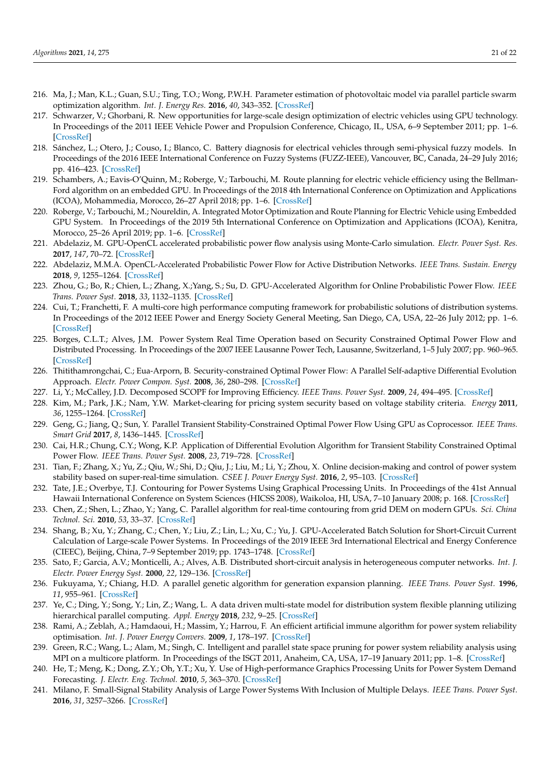- <span id="page-20-0"></span>216. Ma, J.; Man, K.L.; Guan, S.U.; Ting, T.O.; Wong, P.W.H. Parameter estimation of photovoltaic model via parallel particle swarm optimization algorithm. *Int. J. Energy Res.* **2016**, *40*, 343–352. [\[CrossRef\]](http://dx.doi.org/10.1002/er.3359)
- <span id="page-20-1"></span>217. Schwarzer, V.; Ghorbani, R. New opportunities for large-scale design optimization of electric vehicles using GPU technology. In Proceedings of the 2011 IEEE Vehicle Power and Propulsion Conference, Chicago, IL, USA, 6–9 September 2011; pp. 1–6. [\[CrossRef\]](http://dx.doi.org/10.1109/VPPC.2011.6043051)
- 218. Sánchez, L.; Otero, J.; Couso, I.; Blanco, C. Battery diagnosis for electrical vehicles through semi-physical fuzzy models. In Proceedings of the 2016 IEEE International Conference on Fuzzy Systems (FUZZ-IEEE), Vancouver, BC, Canada, 24–29 July 2016; pp. 416–423. [\[CrossRef\]](http://dx.doi.org/10.1109/FUZZ-IEEE.2016.7737717)
- 219. Schambers, A.; Eavis-O'Quinn, M.; Roberge, V.; Tarbouchi, M. Route planning for electric vehicle efficiency using the Bellman-Ford algorithm on an embedded GPU. In Proceedings of the 2018 4th International Conference on Optimization and Applications (ICOA), Mohammedia, Morocco, 26–27 April 2018; pp. 1–6. [\[CrossRef\]](http://dx.doi.org/10.1109/ICOA.2018.8370584)
- <span id="page-20-2"></span>220. Roberge, V.; Tarbouchi, M.; Noureldin, A. Integrated Motor Optimization and Route Planning for Electric Vehicle using Embedded GPU System. In Proceedings of the 2019 5th International Conference on Optimization and Applications (ICOA), Kenitra, Morocco, 25–26 April 2019; pp. 1–6. [\[CrossRef\]](http://dx.doi.org/10.1109/ICOA.2019.8727682)
- <span id="page-20-3"></span>221. Abdelaziz, M. GPU-OpenCL accelerated probabilistic power flow analysis using Monte-Carlo simulation. *Electr. Power Syst. Res.* **2017**, *147*, 70–72. [\[CrossRef\]](http://dx.doi.org/10.1016/j.epsr.2017.02.022)
- 222. Abdelaziz, M.M.A. OpenCL-Accelerated Probabilistic Power Flow for Active Distribution Networks. *IEEE Trans. Sustain. Energy* **2018**, *9*, 1255–1264. [\[CrossRef\]](http://dx.doi.org/10.1109/TSTE.2017.2781148)
- <span id="page-20-4"></span>223. Zhou, G.; Bo, R.; Chien, L.; Zhang, X.;Yang, S.; Su, D. GPU-Accelerated Algorithm for Online Probabilistic Power Flow. *IEEE Trans. Power Syst.* **2018**, *33*, 1132–1135. [\[CrossRef\]](http://dx.doi.org/10.1109/TPWRS.2017.2756339)
- <span id="page-20-5"></span>224. Cui, T.; Franchetti, F. A multi-core high performance computing framework for probabilistic solutions of distribution systems. In Proceedings of the 2012 IEEE Power and Energy Society General Meeting, San Diego, CA, USA, 22–26 July 2012; pp. 1–6. [\[CrossRef\]](http://dx.doi.org/10.1109/PESGM.2012.6344987)
- <span id="page-20-6"></span>225. Borges, C.L.T.; Alves, J.M. Power System Real Time Operation based on Security Constrained Optimal Power Flow and Distributed Processing. In Proceedings of the 2007 IEEE Lausanne Power Tech, Lausanne, Switzerland, 1–5 July 2007; pp. 960–965. [\[CrossRef\]](http://dx.doi.org/10.1109/PCT.2007.4538445)
- 226. Thitithamrongchai, C.; Eua-Arporn, B. Security-constrained Optimal Power Flow: A Parallel Self-adaptive Differential Evolution Approach. *Electr. Power Compon. Syst.* **2008**, *36*, 280–298. [\[CrossRef\]](http://dx.doi.org/10.1080/15325000701603942)
- <span id="page-20-21"></span>227. Li, Y.; McCalley, J.D. Decomposed SCOPF for Improving Efficiency. *IEEE Trans. Power Syst.* **2009**, *24*, 494–495. [\[CrossRef\]](http://dx.doi.org/10.1109/TPWRS.2008.2002166)
- <span id="page-20-7"></span>228. Kim, M.; Park, J.K.; Nam, Y.W. Market-clearing for pricing system security based on voltage stability criteria. *Energy* **2011**, *36*, 1255–1264. [\[CrossRef\]](http://dx.doi.org/10.1016/j.energy.2010.11.019)
- <span id="page-20-8"></span>229. Geng, G.; Jiang, Q.; Sun, Y. Parallel Transient Stability-Constrained Optimal Power Flow Using GPU as Coprocessor. *IEEE Trans. Smart Grid* **2017**, *8*, 1436–1445. [\[CrossRef\]](http://dx.doi.org/10.1109/TSG.2016.2639551)
- <span id="page-20-9"></span>230. Cai, H.R.; Chung, C.Y.; Wong, K.P. Application of Differential Evolution Algorithm for Transient Stability Constrained Optimal Power Flow. *IEEE Trans. Power Syst.* **2008**, *23*, 719–728. [\[CrossRef\]](http://dx.doi.org/10.1109/TPWRS.2008.919241)
- <span id="page-20-10"></span>231. Tian, F.; Zhang, X.; Yu, Z.; Qiu, W.; Shi, D.; Qiu, J.; Liu, M.; Li, Y.; Zhou, X. Online decision-making and control of power system stability based on super-real-time simulation. *CSEE J. Power Energy Syst.* **2016**, *2*, 95–103. [\[CrossRef\]](http://dx.doi.org/10.17775/CSEEJPES.2016.00014)
- <span id="page-20-11"></span>232. Tate, J.E.; Overbye, T.J. Contouring for Power Systems Using Graphical Processing Units. In Proceedings of the 41st Annual Hawaii International Conference on System Sciences (HICSS 2008), Waikoloa, HI, USA, 7–10 January 2008; p. 168. [\[CrossRef\]](http://dx.doi.org/10.1109/HICSS.2008.102)
- <span id="page-20-12"></span>233. Chen, Z.; Shen, L.; Zhao, Y.; Yang, C. Parallel algorithm for real-time contouring from grid DEM on modern GPUs. *Sci. China Technol. Sci.* **2010**, *53*, 33–37. [\[CrossRef\]](http://dx.doi.org/10.1007/s11431-010-3210-6)
- <span id="page-20-13"></span>234. Shang, B.; Xu, Y.; Zhang, C.; Chen, Y.; Liu, Z.; Lin, L.; Xu, C.; Yu, J. GPU-Accelerated Batch Solution for Short-Circuit Current Calculation of Large-scale Power Systems. In Proceedings of the 2019 IEEE 3rd International Electrical and Energy Conference (CIEEC), Beijing, China, 7–9 September 2019; pp. 1743–1748. [\[CrossRef\]](http://dx.doi.org/10.1109/CIEEC47146.2019.CIEEC-2019608)
- <span id="page-20-14"></span>235. Sato, F.; Garcia, A.V.; Monticelli, A.; Alves, A.B. Distributed short-circuit analysis in heterogeneous computer networks. *Int. J. Electr. Power Energy Syst.* **2000**, *22*, 129–136. [\[CrossRef\]](http://dx.doi.org/10.1016/S0142-0615(99)00038-1)
- <span id="page-20-15"></span>236. Fukuyama, Y.; Chiang, H.D. A parallel genetic algorithm for generation expansion planning. *IEEE Trans. Power Syst.* **1996**, *11*, 955–961. [\[CrossRef\]](http://dx.doi.org/10.1109/59.496180)
- <span id="page-20-16"></span>237. Ye, C.; Ding, Y.; Song, Y.; Lin, Z.; Wang, L. A data driven multi-state model for distribution system flexible planning utilizing hierarchical parallel computing. *Appl. Energy* **2018**, *232*, 9–25. [\[CrossRef\]](http://dx.doi.org/10.1016/j.apenergy.2018.09.202)
- <span id="page-20-17"></span>238. Rami, A.; Zeblah, A.; Hamdaoui, H.; Massim, Y.; Harrou, F. An efficient artificial immune algorithm for power system reliability optimisation. *Int. J. Power Energy Convers.* **2009**, *1*, 178–197. [\[CrossRef\]](http://dx.doi.org/10.1504/IJPEC.2009.027943)
- <span id="page-20-18"></span>239. Green, R.C.; Wang, L.; Alam, M.; Singh, C. Intelligent and parallel state space pruning for power system reliability analysis using MPI on a multicore platform. In Proceedings of the ISGT 2011, Anaheim, CA, USA, 17–19 January 2011; pp. 1–8. [\[CrossRef\]](http://dx.doi.org/10.1109/ISGT.2011.5759165)
- <span id="page-20-19"></span>240. He, T.; Meng, K.; Dong, Z.Y.; Oh, Y.T.; Xu, Y. Use of High-performance Graphics Processing Units for Power System Demand Forecasting. *J. Electr. Eng. Technol.* **2010**, *5*, 363–370. [\[CrossRef\]](http://dx.doi.org/10.5370/JEET.2010.5.3.363)
- <span id="page-20-20"></span>241. Milano, F. Small-Signal Stability Analysis of Large Power Systems With Inclusion of Multiple Delays. *IEEE Trans. Power Syst.* **2016**, *31*, 3257–3266. [\[CrossRef\]](http://dx.doi.org/10.1109/TPWRS.2015.2472977)